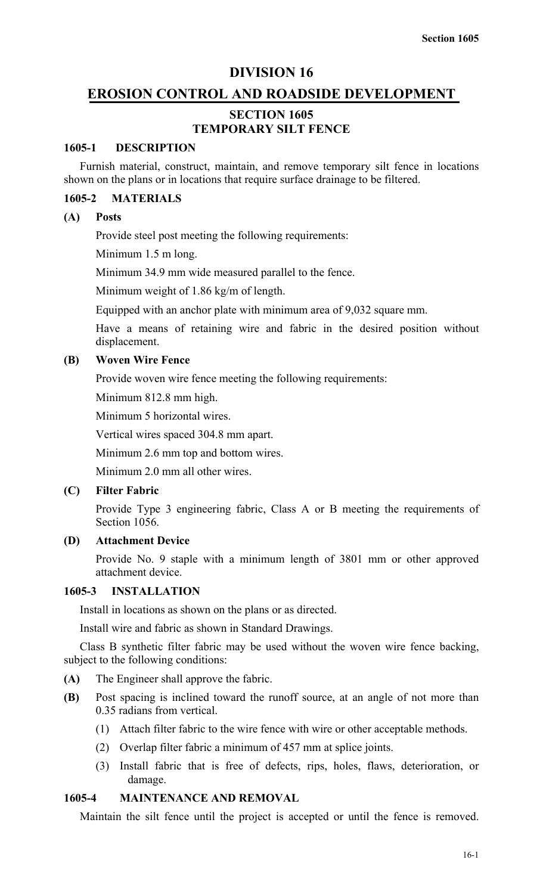## **DIVISION 16**

## **EROSION CONTROL AND ROADSIDE DEVELOPMENT**

## **SECTION 1605 TEMPORARY SILT FENCE**

## **1605-1 DESCRIPTION**

Furnish material, construct, maintain, and remove temporary silt fence in locations shown on the plans or in locations that require surface drainage to be filtered.

#### **1605-2 MATERIALS**

#### **(A) Posts**

Provide steel post meeting the following requirements:

Minimum 1.5 m long.

Minimum 34.9 mm wide measured parallel to the fence.

Minimum weight of 1.86 kg/m of length.

Equipped with an anchor plate with minimum area of 9,032 square mm.

Have a means of retaining wire and fabric in the desired position without displacement.

#### **(B) Woven Wire Fence**

Provide woven wire fence meeting the following requirements:

Minimum 812.8 mm high.

Minimum 5 horizontal wires.

Vertical wires spaced 304.8 mm apart.

Minimum 2.6 mm top and bottom wires.

Minimum 2.0 mm all other wires.

## **(C) Filter Fabric**

Provide Type 3 engineering fabric, Class A or B meeting the requirements of Section 1056.

## **(D) Attachment Device**

Provide No. 9 staple with a minimum length of 3801 mm or other approved attachment device.

## **1605-3 INSTALLATION**

Install in locations as shown on the plans or as directed.

Install wire and fabric as shown in Standard Drawings.

Class B synthetic filter fabric may be used without the woven wire fence backing, subject to the following conditions:

- **(A)** The Engineer shall approve the fabric.
- **(B)** Post spacing is inclined toward the runoff source, at an angle of not more than 0.35 radians from vertical.
	- (1) Attach filter fabric to the wire fence with wire or other acceptable methods.
	- (2) Overlap filter fabric a minimum of 457 mm at splice joints.
	- (3) Install fabric that is free of defects, rips, holes, flaws, deterioration, or damage.

#### **1605-4 MAINTENANCE AND REMOVAL**

Maintain the silt fence until the project is accepted or until the fence is removed.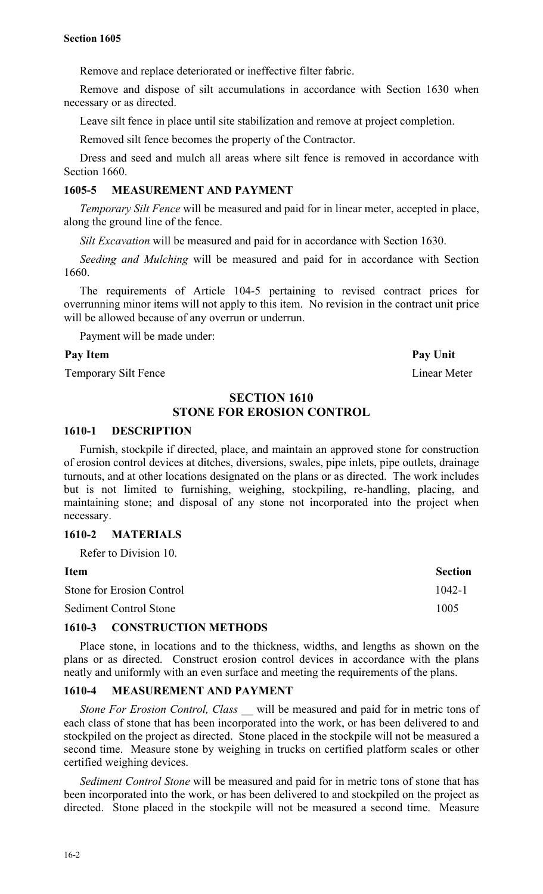Remove and replace deteriorated or ineffective filter fabric.

Remove and dispose of silt accumulations in accordance with Section 1630 when necessary or as directed.

Leave silt fence in place until site stabilization and remove at project completion.

Removed silt fence becomes the property of the Contractor.

Dress and seed and mulch all areas where silt fence is removed in accordance with Section 1660.

## **1605-5 MEASUREMENT AND PAYMENT**

*Temporary Silt Fence* will be measured and paid for in linear meter, accepted in place, along the ground line of the fence.

*Silt Excavation* will be measured and paid for in accordance with Section 1630.

*Seeding and Mulching* will be measured and paid for in accordance with Section 1660.

The requirements of Article 104-5 pertaining to revised contract prices for overrunning minor items will not apply to this item. No revision in the contract unit price will be allowed because of any overrun or underrun.

Payment will be made under:

#### Pay Item **Pay Unit**

Temporary Silt Fence Linear Meter

## **SECTION 1610 STONE FOR EROSION CONTROL**

## **1610-1 DESCRIPTION**

Furnish, stockpile if directed, place, and maintain an approved stone for construction of erosion control devices at ditches, diversions, swales, pipe inlets, pipe outlets, drainage turnouts, and at other locations designated on the plans or as directed. The work includes but is not limited to furnishing, weighing, stockpiling, re-handling, placing, and maintaining stone; and disposal of any stone not incorporated into the project when necessary.

#### **1610-2 MATERIALS**

Refer to Division 10.

| Item                             | <b>Section</b> |
|----------------------------------|----------------|
| <b>Stone for Erosion Control</b> | $1042 - 1$     |
| <b>Sediment Control Stone</b>    | 1005           |

### **1610-3 CONSTRUCTION METHODS**

Place stone, in locations and to the thickness, widths, and lengths as shown on the plans or as directed. Construct erosion control devices in accordance with the plans neatly and uniformly with an even surface and meeting the requirements of the plans.

#### **1610-4 MEASUREMENT AND PAYMENT**

*Stone For Erosion Control, Class \_\_* will be measured and paid for in metric tons of each class of stone that has been incorporated into the work, or has been delivered to and stockpiled on the project as directed. Stone placed in the stockpile will not be measured a second time. Measure stone by weighing in trucks on certified platform scales or other certified weighing devices.

*Sediment Control Stone* will be measured and paid for in metric tons of stone that has been incorporated into the work, or has been delivered to and stockpiled on the project as directed. Stone placed in the stockpile will not be measured a second time. Measure

16-2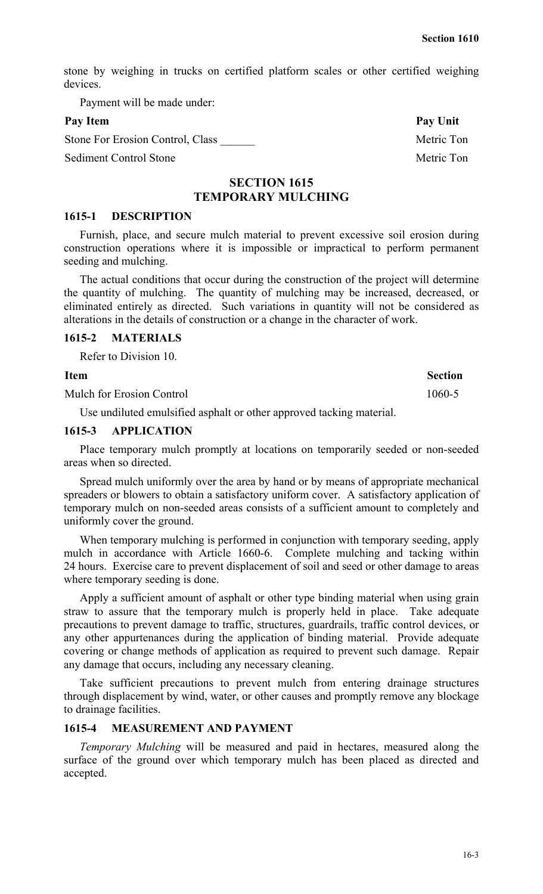stone by weighing in trucks on certified platform scales or other certified weighing devices.

Payment will be made under:

Stone For Erosion Control, Class **Network** Metric Ton

Sediment Control Stone Metric Ton

## **SECTION 1615 TEMPORARY MULCHING**

#### **1615-1 DESCRIPTION**

Furnish, place, and secure mulch material to prevent excessive soil erosion during construction operations where it is impossible or impractical to perform permanent seeding and mulching.

The actual conditions that occur during the construction of the project will determine the quantity of mulching. The quantity of mulching may be increased, decreased, or eliminated entirely as directed. Such variations in quantity will not be considered as alterations in the details of construction or a change in the character of work.

## **1615-2 MATERIALS**

Refer to Division 10.

Mulch for Erosion Control 1060-5

Use undiluted emulsified asphalt or other approved tacking material.

## **1615-3 APPLICATION**

Place temporary mulch promptly at locations on temporarily seeded or non-seeded areas when so directed.

Spread mulch uniformly over the area by hand or by means of appropriate mechanical spreaders or blowers to obtain a satisfactory uniform cover. A satisfactory application of temporary mulch on non-seeded areas consists of a sufficient amount to completely and uniformly cover the ground.

When temporary mulching is performed in conjunction with temporary seeding, apply mulch in accordance with Article 1660-6. Complete mulching and tacking within 24 hours. Exercise care to prevent displacement of soil and seed or other damage to areas where temporary seeding is done.

Apply a sufficient amount of asphalt or other type binding material when using grain straw to assure that the temporary mulch is properly held in place. Take adequate precautions to prevent damage to traffic, structures, guardrails, traffic control devices, or any other appurtenances during the application of binding material. Provide adequate covering or change methods of application as required to prevent such damage. Repair any damage that occurs, including any necessary cleaning.

Take sufficient precautions to prevent mulch from entering drainage structures through displacement by wind, water, or other causes and promptly remove any blockage to drainage facilities.

#### **1615-4 MEASUREMENT AND PAYMENT**

*Temporary Mulching* will be measured and paid in hectares, measured along the surface of the ground over which temporary mulch has been placed as directed and accepted.

Pay Item Pay Unit

## **Item Section**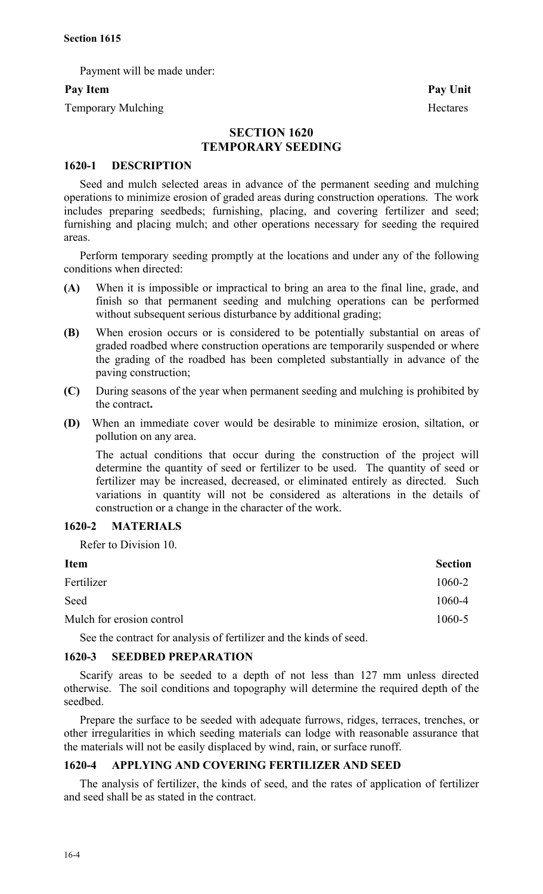Payment will be made under:

Temporary Mulching Hectares

Pay Item Pay Unit

## **SECTION 1620 TEMPORARY SEEDING**

## **1620-1 DESCRIPTION**

Seed and mulch selected areas in advance of the permanent seeding and mulching operations to minimize erosion of graded areas during construction operations. The work includes preparing seedbeds; furnishing, placing, and covering fertilizer and seed; furnishing and placing mulch; and other operations necessary for seeding the required areas.

Perform temporary seeding promptly at the locations and under any of the following conditions when directed:

- **(A)** When it is impossible or impractical to bring an area to the final line, grade, and finish so that permanent seeding and mulching operations can be performed without subsequent serious disturbance by additional grading;
- **(B)** When erosion occurs or is considered to be potentially substantial on areas of graded roadbed where construction operations are temporarily suspended or where the grading of the roadbed has been completed substantially in advance of the paving construction;
- **(C)** During seasons of the year when permanent seeding and mulching is prohibited by the contract**.**
- **(D)** When an immediate cover would be desirable to minimize erosion, siltation, or pollution on any area.

The actual conditions that occur during the construction of the project will determine the quantity of seed or fertilizer to be used. The quantity of seed or fertilizer may be increased, decreased, or eliminated entirely as directed. Such variations in quantity will not be considered as alterations in the details of construction or a change in the character of the work.

## **1620-2 MATERIALS**

Refer to Division 10.

| <b>Item</b>               | <b>Section</b> |
|---------------------------|----------------|
| Fertilizer                | 1060-2         |
| Seed                      | 1060-4         |
| Mulch for erosion control | 1060-5         |

See the contract for analysis of fertilizer and the kinds of seed.

## **1620-3 SEEDBED PREPARATION**

Scarify areas to be seeded to a depth of not less than 127 mm unless directed otherwise. The soil conditions and topography will determine the required depth of the seedbed.

Prepare the surface to be seeded with adequate furrows, ridges, terraces, trenches, or other irregularities in which seeding materials can lodge with reasonable assurance that the materials will not be easily displaced by wind, rain, or surface runoff.

## **1620-4 APPLYING AND COVERING FERTILIZER AND SEED**

The analysis of fertilizer, the kinds of seed, and the rates of application of fertilizer and seed shall be as stated in the contract.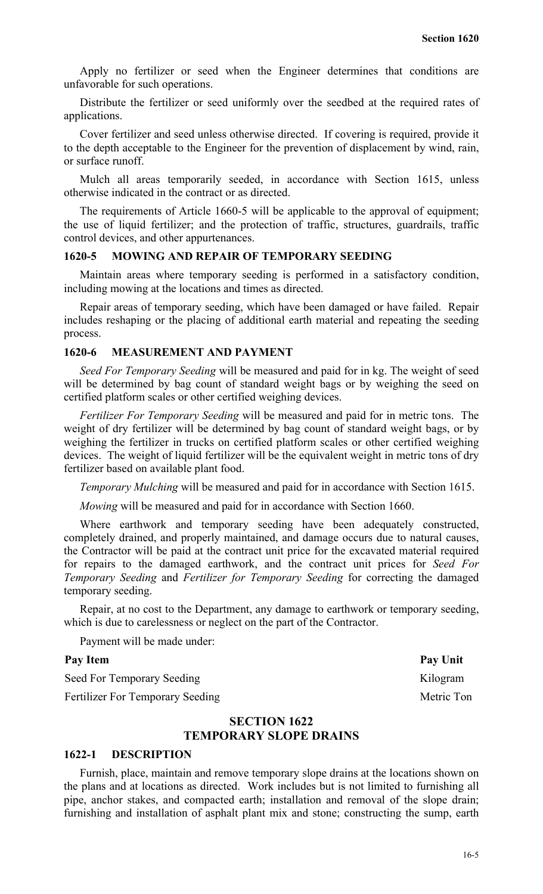Apply no fertilizer or seed when the Engineer determines that conditions are unfavorable for such operations.

Distribute the fertilizer or seed uniformly over the seedbed at the required rates of applications.

Cover fertilizer and seed unless otherwise directed. If covering is required, provide it to the depth acceptable to the Engineer for the prevention of displacement by wind, rain, or surface runoff.

Mulch all areas temporarily seeded, in accordance with Section 1615, unless otherwise indicated in the contract or as directed.

The requirements of Article 1660-5 will be applicable to the approval of equipment; the use of liquid fertilizer; and the protection of traffic, structures, guardrails, traffic control devices, and other appurtenances.

## **1620-5 MOWING AND REPAIR OF TEMPORARY SEEDING**

Maintain areas where temporary seeding is performed in a satisfactory condition, including mowing at the locations and times as directed.

Repair areas of temporary seeding, which have been damaged or have failed. Repair includes reshaping or the placing of additional earth material and repeating the seeding process.

#### **1620-6 MEASUREMENT AND PAYMENT**

*Seed For Temporary Seeding* will be measured and paid for in kg. The weight of seed will be determined by bag count of standard weight bags or by weighing the seed on certified platform scales or other certified weighing devices.

*Fertilizer For Temporary Seeding* will be measured and paid for in metric tons. The weight of dry fertilizer will be determined by bag count of standard weight bags, or by weighing the fertilizer in trucks on certified platform scales or other certified weighing devices. The weight of liquid fertilizer will be the equivalent weight in metric tons of dry fertilizer based on available plant food.

*Temporary Mulching* will be measured and paid for in accordance with Section 1615.

*Mowing* will be measured and paid for in accordance with Section 1660.

Where earthwork and temporary seeding have been adequately constructed, completely drained, and properly maintained, and damage occurs due to natural causes, the Contractor will be paid at the contract unit price for the excavated material required for repairs to the damaged earthwork, and the contract unit prices for *Seed For Temporary Seeding* and *Fertilizer for Temporary Seeding* for correcting the damaged temporary seeding.

Repair, at no cost to the Department, any damage to earthwork or temporary seeding, which is due to carelessness or neglect on the part of the Contractor.

Payment will be made under:

Seed For Temporary Seeding Kilogram

Fertilizer For Temporary Seeding Metric Ton

## **SECTION 1622 TEMPORARY SLOPE DRAINS**

#### **1622-1 DESCRIPTION**

Furnish, place, maintain and remove temporary slope drains at the locations shown on the plans and at locations as directed. Work includes but is not limited to furnishing all pipe, anchor stakes, and compacted earth; installation and removal of the slope drain; furnishing and installation of asphalt plant mix and stone; constructing the sump, earth

Pay Item Pay Unit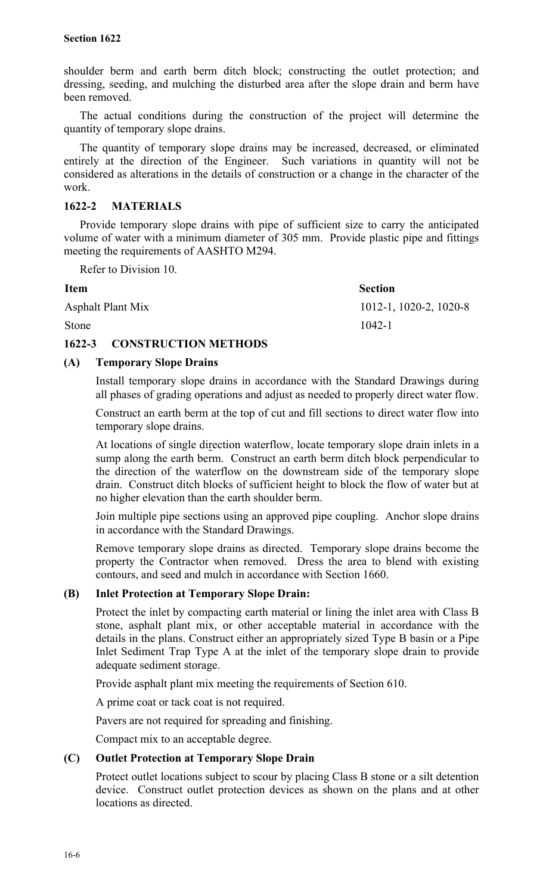shoulder berm and earth berm ditch block; constructing the outlet protection; and dressing, seeding, and mulching the disturbed area after the slope drain and berm have been removed.

The actual conditions during the construction of the project will determine the quantity of temporary slope drains.

The quantity of temporary slope drains may be increased, decreased, or eliminated entirely at the direction of the Engineer. Such variations in quantity will not be considered as alterations in the details of construction or a change in the character of the work.

## **1622-2 MATERIALS**

Provide temporary slope drains with pipe of sufficient size to carry the anticipated volume of water with a minimum diameter of 305 mm. Provide plastic pipe and fittings meeting the requirements of AASHTO M294.

Refer to Division 10.

| <b>Item</b>              | <b>Section</b>            |
|--------------------------|---------------------------|
| <b>Asphalt Plant Mix</b> | $1012-1$ , 1020-2, 1020-8 |
| Stone                    | $1042 - 1$                |

## **1622-3 CONSTRUCTION METHODS**

## **(A) Temporary Slope Drains**

Install temporary slope drains in accordance with the Standard Drawings during all phases of grading operations and adjust as needed to properly direct water flow.

Construct an earth berm at the top of cut and fill sections to direct water flow into temporary slope drains.

At locations of single direction waterflow, locate temporary slope drain inlets in a sump along the earth berm. Construct an earth berm ditch block perpendicular to the direction of the waterflow on the downstream side of the temporary slope drain. Construct ditch blocks of sufficient height to block the flow of water but at no higher elevation than the earth shoulder berm.

Join multiple pipe sections using an approved pipe coupling. Anchor slope drains in accordance with the Standard Drawings.

Remove temporary slope drains as directed. Temporary slope drains become the property the Contractor when removed. Dress the area to blend with existing contours, and seed and mulch in accordance with Section 1660.

## **(B) Inlet Protection at Temporary Slope Drain:**

Protect the inlet by compacting earth material or lining the inlet area with Class B stone, asphalt plant mix, or other acceptable material in accordance with the details in the plans. Construct either an appropriately sized Type B basin or a Pipe Inlet Sediment Trap Type A at the inlet of the temporary slope drain to provide adequate sediment storage.

Provide asphalt plant mix meeting the requirements of Section 610.

A prime coat or tack coat is not required.

Pavers are not required for spreading and finishing.

Compact mix to an acceptable degree.

## **(C) Outlet Protection at Temporary Slope Drain**

Protect outlet locations subject to scour by placing Class B stone or a silt detention device. Construct outlet protection devices as shown on the plans and at other locations as directed.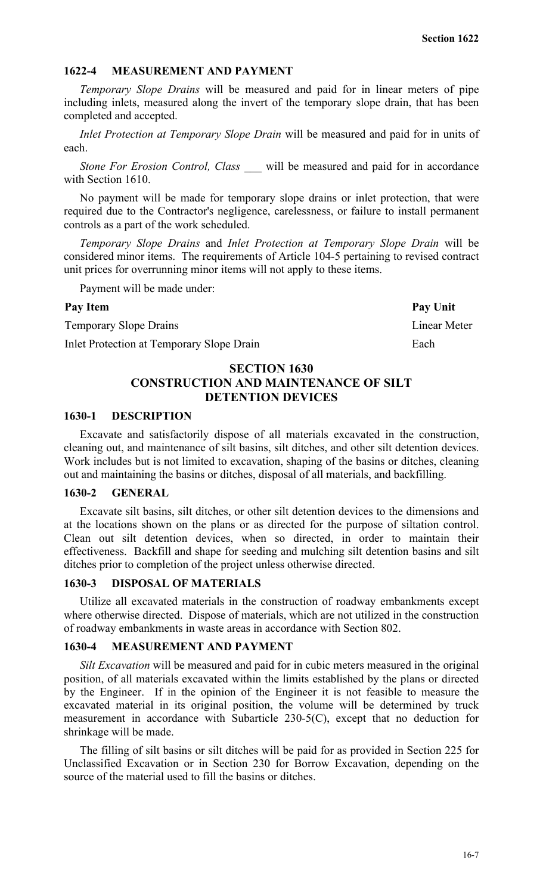### **1622-4 MEASUREMENT AND PAYMENT**

*Temporary Slope Drains* will be measured and paid for in linear meters of pipe including inlets, measured along the invert of the temporary slope drain, that has been completed and accepted.

*Inlet Protection at Temporary Slope Drain* will be measured and paid for in units of each.

*Stone For Erosion Control, Class* will be measured and paid for in accordance with Section 1610.

No payment will be made for temporary slope drains or inlet protection, that were required due to the Contractor's negligence, carelessness, or failure to install permanent controls as a part of the work scheduled.

*Temporary Slope Drains* and *Inlet Protection at Temporary Slope Drain* will be considered minor items. The requirements of Article 104-5 pertaining to revised contract unit prices for overrunning minor items will not apply to these items.

Payment will be made under:

#### Pay Item Pay Unit

Temporary Slope Drains Linear Meter

Inlet Protection at Temporary Slope Drain Each

## **SECTION 1630 CONSTRUCTION AND MAINTENANCE OF SILT DETENTION DEVICES**

### **1630-1 DESCRIPTION**

Excavate and satisfactorily dispose of all materials excavated in the construction, cleaning out, and maintenance of silt basins, silt ditches, and other silt detention devices. Work includes but is not limited to excavation, shaping of the basins or ditches, cleaning out and maintaining the basins or ditches, disposal of all materials, and backfilling.

## **1630-2 GENERAL**

Excavate silt basins, silt ditches, or other silt detention devices to the dimensions and at the locations shown on the plans or as directed for the purpose of siltation control. Clean out silt detention devices, when so directed, in order to maintain their effectiveness. Backfill and shape for seeding and mulching silt detention basins and silt ditches prior to completion of the project unless otherwise directed.

#### **1630-3 DISPOSAL OF MATERIALS**

Utilize all excavated materials in the construction of roadway embankments except where otherwise directed. Dispose of materials, which are not utilized in the construction of roadway embankments in waste areas in accordance with Section 802.

#### **1630-4 MEASUREMENT AND PAYMENT**

*Silt Excavation* will be measured and paid for in cubic meters measured in the original position, of all materials excavated within the limits established by the plans or directed by the Engineer. If in the opinion of the Engineer it is not feasible to measure the excavated material in its original position, the volume will be determined by truck measurement in accordance with Subarticle 230-5(C), except that no deduction for shrinkage will be made.

The filling of silt basins or silt ditches will be paid for as provided in Section 225 for Unclassified Excavation or in Section 230 for Borrow Excavation, depending on the source of the material used to fill the basins or ditches.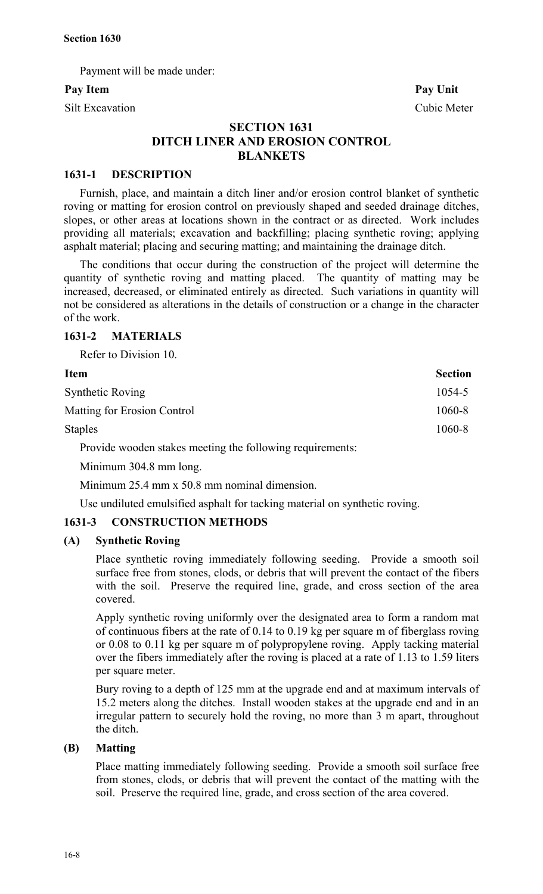Payment will be made under:

Silt Excavation Cubic Meter

Pay Item Pay Unit

## **SECTION 1631 DITCH LINER AND EROSION CONTROL BLANKETS**

## **1631-1 DESCRIPTION**

Furnish, place, and maintain a ditch liner and/or erosion control blanket of synthetic roving or matting for erosion control on previously shaped and seeded drainage ditches, slopes, or other areas at locations shown in the contract or as directed. Work includes providing all materials; excavation and backfilling; placing synthetic roving; applying asphalt material; placing and securing matting; and maintaining the drainage ditch.

The conditions that occur during the construction of the project will determine the quantity of synthetic roving and matting placed. The quantity of matting may be increased, decreased, or eliminated entirely as directed. Such variations in quantity will not be considered as alterations in the details of construction or a change in the character of the work.

## **1631-2 MATERIALS**

Refer to Division 10.

| Item                               | <b>Section</b> |
|------------------------------------|----------------|
| <b>Synthetic Roving</b>            | 1054-5         |
| <b>Matting for Erosion Control</b> | 1060-8         |
| <b>Staples</b>                     | 1060-8         |
|                                    |                |

Provide wooden stakes meeting the following requirements:

Minimum 304.8 mm long.

Minimum 25.4 mm x 50.8 mm nominal dimension.

Use undiluted emulsified asphalt for tacking material on synthetic roving.

## **1631-3 CONSTRUCTION METHODS**

## **(A) Synthetic Roving**

Place synthetic roving immediately following seeding. Provide a smooth soil surface free from stones, clods, or debris that will prevent the contact of the fibers with the soil. Preserve the required line, grade, and cross section of the area covered.

Apply synthetic roving uniformly over the designated area to form a random mat of continuous fibers at the rate of 0.14 to 0.19 kg per square m of fiberglass roving or 0.08 to 0.11 kg per square m of polypropylene roving. Apply tacking material over the fibers immediately after the roving is placed at a rate of 1.13 to 1.59 liters per square meter.

Bury roving to a depth of 125 mm at the upgrade end and at maximum intervals of 15.2 meters along the ditches. Install wooden stakes at the upgrade end and in an irregular pattern to securely hold the roving, no more than 3 m apart, throughout the ditch.

## **(B) Matting**

Place matting immediately following seeding. Provide a smooth soil surface free from stones, clods, or debris that will prevent the contact of the matting with the soil. Preserve the required line, grade, and cross section of the area covered.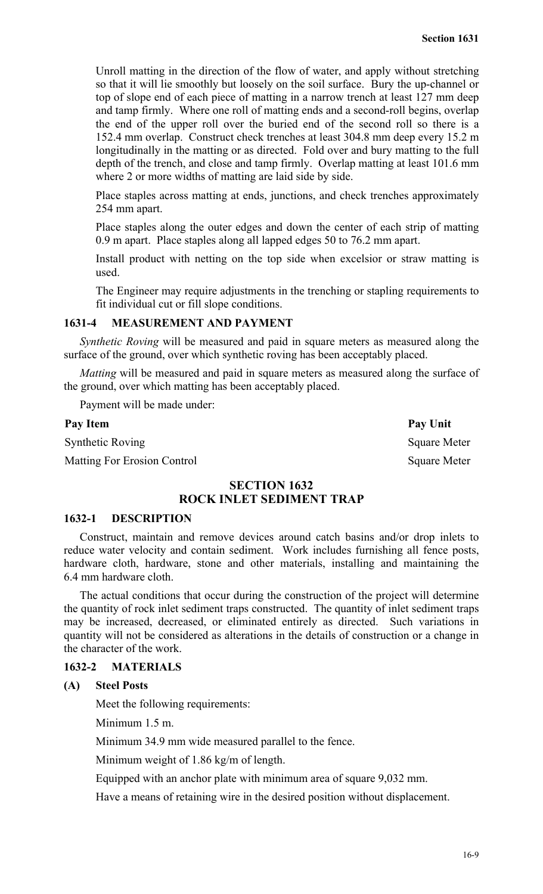Unroll matting in the direction of the flow of water, and apply without stretching so that it will lie smoothly but loosely on the soil surface. Bury the up-channel or top of slope end of each piece of matting in a narrow trench at least 127 mm deep and tamp firmly. Where one roll of matting ends and a second-roll begins, overlap the end of the upper roll over the buried end of the second roll so there is a 152.4 mm overlap. Construct check trenches at least 304.8 mm deep every 15.2 m longitudinally in the matting or as directed. Fold over and bury matting to the full depth of the trench, and close and tamp firmly. Overlap matting at least 101.6 mm where 2 or more widths of matting are laid side by side.

Place staples across matting at ends, junctions, and check trenches approximately 254 mm apart.

Place staples along the outer edges and down the center of each strip of matting 0.9 m apart. Place staples along all lapped edges 50 to 76.2 mm apart.

Install product with netting on the top side when excelsior or straw matting is used.

The Engineer may require adjustments in the trenching or stapling requirements to fit individual cut or fill slope conditions.

## **1631-4 MEASUREMENT AND PAYMENT**

*Synthetic Roving* will be measured and paid in square meters as measured along the surface of the ground, over which synthetic roving has been acceptably placed.

*Matting* will be measured and paid in square meters as measured along the surface of the ground, over which matting has been acceptably placed.

Payment will be made under:

#### Pay Item Pay Unit

Synthetic Roving Square Meter

Matting For Erosion Control Square Meter

## **SECTION 1632 ROCK INLET SEDIMENT TRAP**

## **1632-1 DESCRIPTION**

Construct, maintain and remove devices around catch basins and/or drop inlets to reduce water velocity and contain sediment. Work includes furnishing all fence posts, hardware cloth, hardware, stone and other materials, installing and maintaining the 6.4 mm hardware cloth.

The actual conditions that occur during the construction of the project will determine the quantity of rock inlet sediment traps constructed. The quantity of inlet sediment traps may be increased, decreased, or eliminated entirely as directed. Such variations in quantity will not be considered as alterations in the details of construction or a change in the character of the work.

## **1632-2 MATERIALS**

#### **(A) Steel Posts**

Meet the following requirements:

Minimum 1.5 m.

Minimum 34.9 mm wide measured parallel to the fence.

Minimum weight of 1.86 kg/m of length.

Equipped with an anchor plate with minimum area of square 9,032 mm.

Have a means of retaining wire in the desired position without displacement.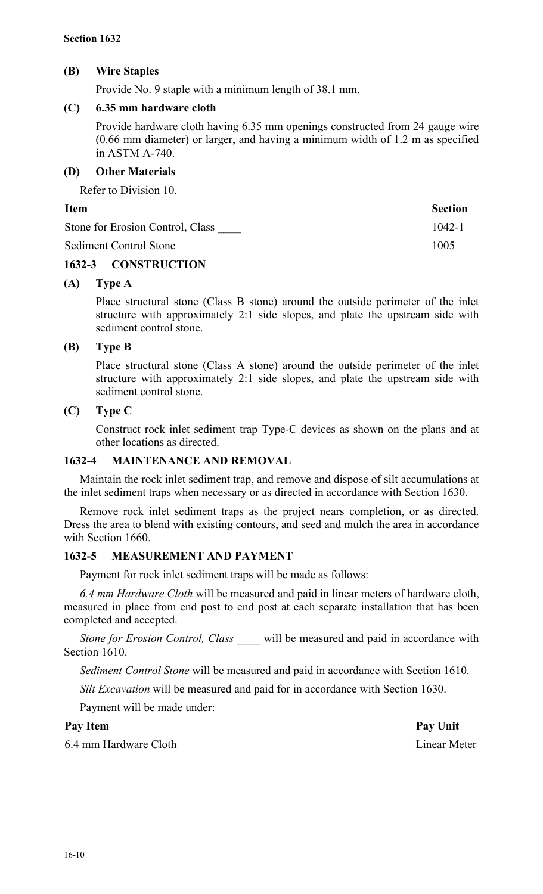## **(B) Wire Staples**

Provide No. 9 staple with a minimum length of 38.1 mm.

## **(C) 6.35 mm hardware cloth**

Provide hardware cloth having 6.35 mm openings constructed from 24 gauge wire (0.66 mm diameter) or larger, and having a minimum width of 1.2 m as specified in ASTM A-740.

## **(D) Other Materials**

Refer to Division 10.

## **Item** Section

| Stone for Erosion Control, Class | $1042 - 1$ |
|----------------------------------|------------|
| Sediment Control Stone           | 1005       |

## **1632-3 CONSTRUCTION**

## **(A) Type A**

Place structural stone (Class B stone) around the outside perimeter of the inlet structure with approximately 2:1 side slopes, and plate the upstream side with sediment control stone.

## **(B) Type B**

Place structural stone (Class A stone) around the outside perimeter of the inlet structure with approximately 2:1 side slopes, and plate the upstream side with sediment control stone.

## **(C) Type C**

Construct rock inlet sediment trap Type-C devices as shown on the plans and at other locations as directed.

## **1632-4 MAINTENANCE AND REMOVAL**

Maintain the rock inlet sediment trap, and remove and dispose of silt accumulations at the inlet sediment traps when necessary or as directed in accordance with Section 1630.

Remove rock inlet sediment traps as the project nears completion, or as directed. Dress the area to blend with existing contours, and seed and mulch the area in accordance with Section 1660.

## **1632-5 MEASUREMENT AND PAYMENT**

Payment for rock inlet sediment traps will be made as follows:

*6.4 mm Hardware Cloth* will be measured and paid in linear meters of hardware cloth, measured in place from end post to end post at each separate installation that has been completed and accepted.

*Stone for Erosion Control, Class* will be measured and paid in accordance with Section 1610.

*Sediment Control Stone* will be measured and paid in accordance with Section 1610.

*Silt Excavation* will be measured and paid for in accordance with Section 1630.

Payment will be made under:

Pay Item Pay Unit

6.4 mm Hardware Cloth Linear Meter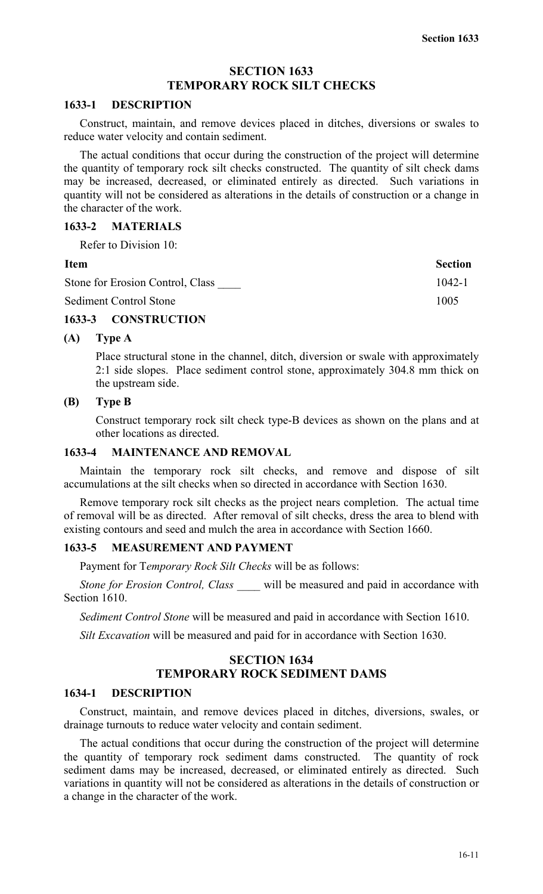## **SECTION 1633 TEMPORARY ROCK SILT CHECKS**

#### **1633-1 DESCRIPTION**

Construct, maintain, and remove devices placed in ditches, diversions or swales to reduce water velocity and contain sediment.

The actual conditions that occur during the construction of the project will determine the quantity of temporary rock silt checks constructed. The quantity of silt check dams may be increased, decreased, or eliminated entirely as directed. Such variations in quantity will not be considered as alterations in the details of construction or a change in the character of the work.

## **1633-2 MATERIALS**

Refer to Division 10:

| ۰.<br>۰,<br>× |
|---------------|
|---------------|

| <b>Item</b>                      | <b>Section</b> |
|----------------------------------|----------------|
| Stone for Erosion Control, Class | $1042 - 1$     |
| <b>Sediment Control Stone</b>    | 1005           |

## **1633-3 CONSTRUCTION**

## **(A) Type A**

Place structural stone in the channel, ditch, diversion or swale with approximately 2:1 side slopes. Place sediment control stone, approximately 304.8 mm thick on the upstream side.

## **(B) Type B**

Construct temporary rock silt check type-B devices as shown on the plans and at other locations as directed.

## **1633-4 MAINTENANCE AND REMOVAL**

Maintain the temporary rock silt checks, and remove and dispose of silt accumulations at the silt checks when so directed in accordance with Section 1630.

Remove temporary rock silt checks as the project nears completion. The actual time of removal will be as directed. After removal of silt checks, dress the area to blend with existing contours and seed and mulch the area in accordance with Section 1660.

## **1633-5 MEASUREMENT AND PAYMENT**

Payment for T*emporary Rock Silt Checks* will be as follows:

*Stone for Erosion Control, Class \_\_\_\_* will be measured and paid in accordance with Section 1610.

*Sediment Control Stone* will be measured and paid in accordance with Section 1610.

*Silt Excavation* will be measured and paid for in accordance with Section 1630.

## **SECTION 1634 TEMPORARY ROCK SEDIMENT DAMS**

## **1634-1 DESCRIPTION**

Construct, maintain, and remove devices placed in ditches, diversions, swales, or drainage turnouts to reduce water velocity and contain sediment.

The actual conditions that occur during the construction of the project will determine the quantity of temporary rock sediment dams constructed. The quantity of rock sediment dams may be increased, decreased, or eliminated entirely as directed. Such variations in quantity will not be considered as alterations in the details of construction or a change in the character of the work.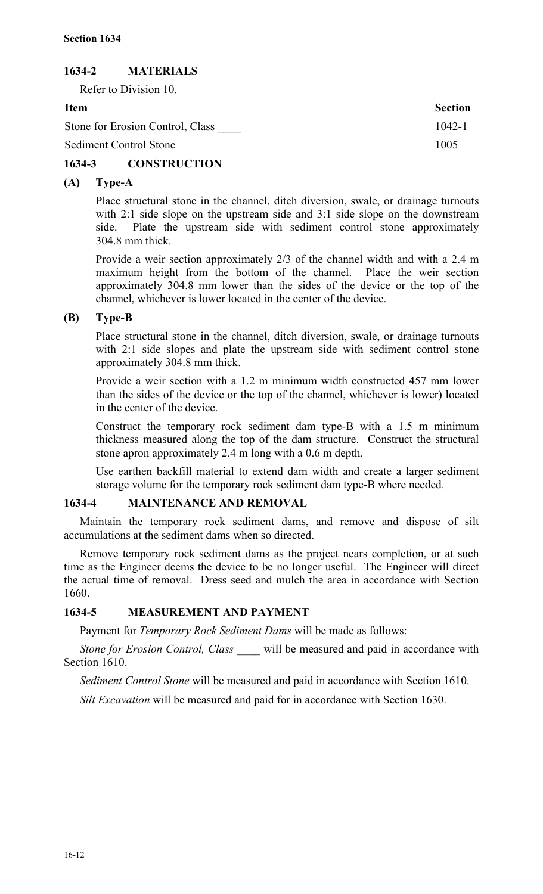## **1634-2 MATERIALS**

Refer to Division 10.

**Item Section** Stone for Erosion Control, Class  $1042-1$ Sediment Control Stone 1005

## **1634-3 CONSTRUCTION**

## **(A) Type-A**

Place structural stone in the channel, ditch diversion, swale, or drainage turnouts with 2:1 side slope on the upstream side and 3:1 side slope on the downstream side. Plate the upstream side with sediment control stone approximately 304.8 mm thick.

Provide a weir section approximately 2/3 of the channel width and with a 2.4 m maximum height from the bottom of the channel. Place the weir section approximately 304.8 mm lower than the sides of the device or the top of the channel, whichever is lower located in the center of the device.

## **(B) Type-B**

Place structural stone in the channel, ditch diversion, swale, or drainage turnouts with 2:1 side slopes and plate the upstream side with sediment control stone approximately 304.8 mm thick.

Provide a weir section with a 1.2 m minimum width constructed 457 mm lower than the sides of the device or the top of the channel, whichever is lower) located in the center of the device.

Construct the temporary rock sediment dam type-B with a 1.5 m minimum thickness measured along the top of the dam structure. Construct the structural stone apron approximately 2.4 m long with a 0.6 m depth.

Use earthen backfill material to extend dam width and create a larger sediment storage volume for the temporary rock sediment dam type-B where needed.

## **1634-4 MAINTENANCE AND REMOVAL**

Maintain the temporary rock sediment dams, and remove and dispose of silt accumulations at the sediment dams when so directed.

Remove temporary rock sediment dams as the project nears completion, or at such time as the Engineer deems the device to be no longer useful. The Engineer will direct the actual time of removal. Dress seed and mulch the area in accordance with Section 1660.

## **1634-5 MEASUREMENT AND PAYMENT**

Payment for *Temporary Rock Sediment Dams* will be made as follows:

*Stone for Erosion Control, Class \_\_\_\_* will be measured and paid in accordance with Section 1610.

*Sediment Control Stone* will be measured and paid in accordance with Section 1610.

*Silt Excavation* will be measured and paid for in accordance with Section 1630.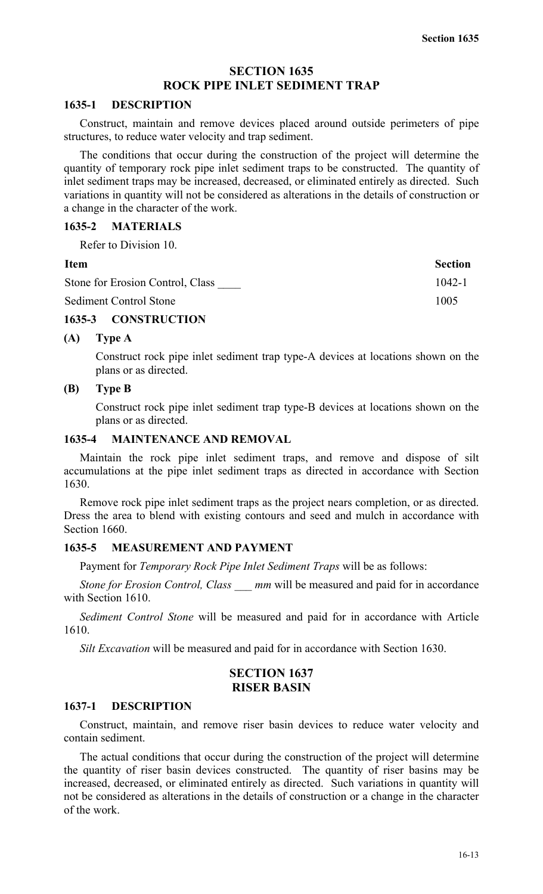## **SECTION 1635 ROCK PIPE INLET SEDIMENT TRAP**

#### **1635-1 DESCRIPTION**

Construct, maintain and remove devices placed around outside perimeters of pipe structures, to reduce water velocity and trap sediment.

The conditions that occur during the construction of the project will determine the quantity of temporary rock pipe inlet sediment traps to be constructed. The quantity of inlet sediment traps may be increased, decreased, or eliminated entirely as directed. Such variations in quantity will not be considered as alterations in the details of construction or a change in the character of the work.

## **1635-2 MATERIALS**

Refer to Division 10.

| <b>Item</b>                      | <b>Section</b> |
|----------------------------------|----------------|
| Stone for Erosion Control, Class | $1042 - 1$     |
| Sediment Control Stone           | 1005           |

## **1635-3 CONSTRUCTION**

## **(A) Type A**

Construct rock pipe inlet sediment trap type-A devices at locations shown on the plans or as directed.

## **(B) Type B**

Construct rock pipe inlet sediment trap type-B devices at locations shown on the plans or as directed.

## **1635-4 MAINTENANCE AND REMOVAL**

Maintain the rock pipe inlet sediment traps, and remove and dispose of silt accumulations at the pipe inlet sediment traps as directed in accordance with Section 1630.

Remove rock pipe inlet sediment traps as the project nears completion, or as directed. Dress the area to blend with existing contours and seed and mulch in accordance with Section 1660.

## **1635-5 MEASUREMENT AND PAYMENT**

Payment for *Temporary Rock Pipe Inlet Sediment Traps* will be as follows:

*Stone for Erosion Control, Class \_\_\_ mm* will be measured and paid for in accordance with Section 1610.

*Sediment Control Stone* will be measured and paid for in accordance with Article 1610.

*Silt Excavation* will be measured and paid for in accordance with Section 1630.

## **SECTION 1637 RISER BASIN**

#### **1637-1 DESCRIPTION**

Construct, maintain, and remove riser basin devices to reduce water velocity and contain sediment.

The actual conditions that occur during the construction of the project will determine the quantity of riser basin devices constructed. The quantity of riser basins may be increased, decreased, or eliminated entirely as directed. Such variations in quantity will not be considered as alterations in the details of construction or a change in the character of the work.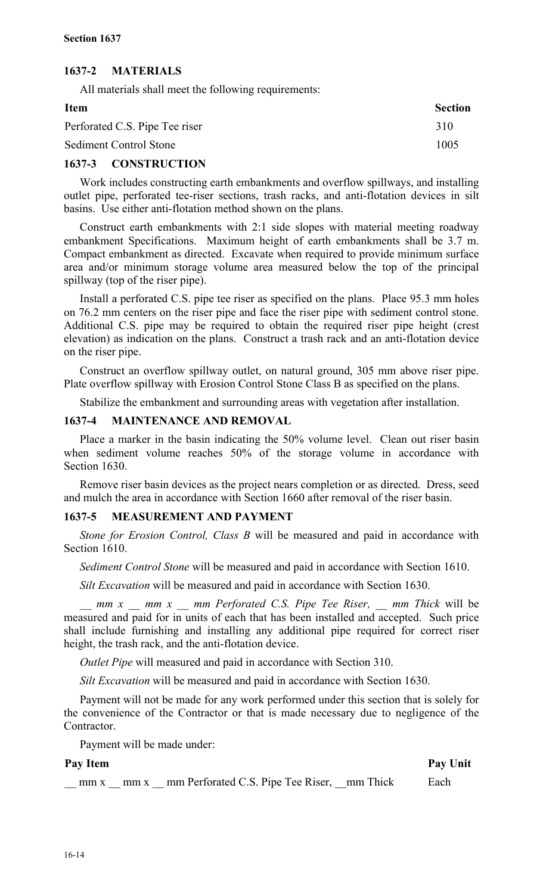## **1637-2 MATERIALS**

All materials shall meet the following requirements:

| Item                           | <b>Section</b> |
|--------------------------------|----------------|
| Perforated C.S. Pipe Tee riser | 310            |
| <b>Sediment Control Stone</b>  | 1005           |

## **1637-3 CONSTRUCTION**

Work includes constructing earth embankments and overflow spillways, and installing outlet pipe, perforated tee-riser sections, trash racks, and anti-flotation devices in silt basins. Use either anti-flotation method shown on the plans.

Construct earth embankments with 2:1 side slopes with material meeting roadway embankment Specifications. Maximum height of earth embankments shall be 3.7 m. Compact embankment as directed. Excavate when required to provide minimum surface area and/or minimum storage volume area measured below the top of the principal spillway (top of the riser pipe).

Install a perforated C.S. pipe tee riser as specified on the plans. Place 95.3 mm holes on 76.2 mm centers on the riser pipe and face the riser pipe with sediment control stone. Additional C.S. pipe may be required to obtain the required riser pipe height (crest elevation) as indication on the plans. Construct a trash rack and an anti-flotation device on the riser pipe.

Construct an overflow spillway outlet, on natural ground, 305 mm above riser pipe. Plate overflow spillway with Erosion Control Stone Class B as specified on the plans.

Stabilize the embankment and surrounding areas with vegetation after installation.

## **1637-4 MAINTENANCE AND REMOVAL**

Place a marker in the basin indicating the 50% volume level. Clean out riser basin when sediment volume reaches 50% of the storage volume in accordance with Section 1630.

Remove riser basin devices as the project nears completion or as directed. Dress, seed and mulch the area in accordance with Section 1660 after removal of the riser basin.

## **1637-5 MEASUREMENT AND PAYMENT**

*Stone for Erosion Control, Class B* will be measured and paid in accordance with Section 1610.

*Sediment Control Stone* will be measured and paid in accordance with Section 1610.

*Silt Excavation* will be measured and paid in accordance with Section 1630.

*mm x \_\_ mm x \_\_ mm Perforated C.S. Pipe Tee Riser, \_\_ mm Thick* will be measured and paid for in units of each that has been installed and accepted. Such price shall include furnishing and installing any additional pipe required for correct riser height, the trash rack, and the anti-flotation device.

*Outlet Pipe* will measured and paid in accordance with Section 310.

*Silt Excavation* will be measured and paid in accordance with Section 1630.

Payment will not be made for any work performed under this section that is solely for the convenience of the Contractor or that is made necessary due to negligence of the Contractor.

Payment will be made under:

#### **Pay Item Pay Unit**

 $\text{mm x}$  mm x  $\text{mm}$  Perforated C.S. Pipe Tee Riser,  $\text{mm}$  Thick Each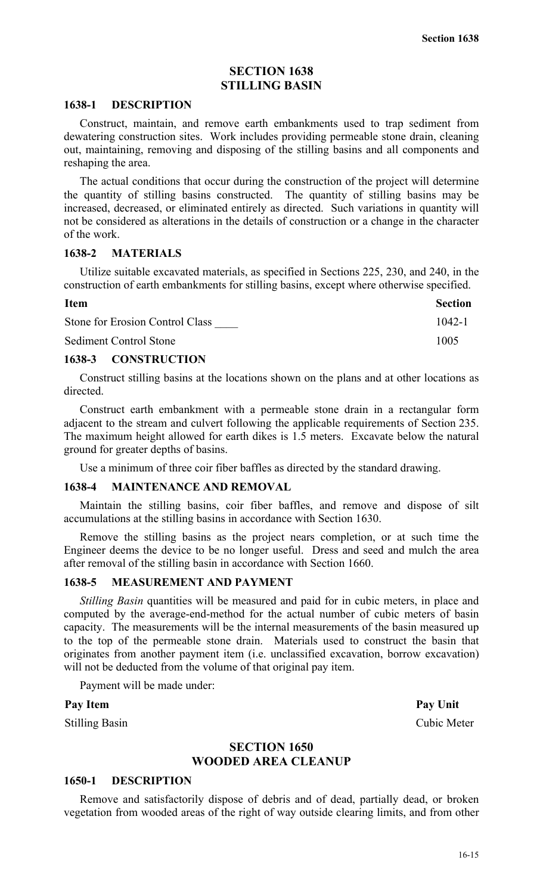## **SECTION 1638 STILLING BASIN**

#### **1638-1 DESCRIPTION**

Construct, maintain, and remove earth embankments used to trap sediment from dewatering construction sites. Work includes providing permeable stone drain, cleaning out, maintaining, removing and disposing of the stilling basins and all components and reshaping the area.

The actual conditions that occur during the construction of the project will determine the quantity of stilling basins constructed. The quantity of stilling basins may be increased, decreased, or eliminated entirely as directed. Such variations in quantity will not be considered as alterations in the details of construction or a change in the character of the work.

#### **1638-2 MATERIALS**

Utilize suitable excavated materials, as specified in Sections 225, 230, and 240, in the construction of earth embankments for stilling basins, except where otherwise specified.

| <b>Item</b>                     | <b>Section</b> |
|---------------------------------|----------------|
| Stone for Erosion Control Class | $1042 - 1$     |
| Sediment Control Stone          | 1005           |

#### **1638-3 CONSTRUCTION**

Construct stilling basins at the locations shown on the plans and at other locations as directed.

Construct earth embankment with a permeable stone drain in a rectangular form adjacent to the stream and culvert following the applicable requirements of Section 235. The maximum height allowed for earth dikes is 1.5 meters. Excavate below the natural ground for greater depths of basins.

Use a minimum of three coir fiber baffles as directed by the standard drawing.

#### **1638-4 MAINTENANCE AND REMOVAL**

Maintain the stilling basins, coir fiber baffles, and remove and dispose of silt accumulations at the stilling basins in accordance with Section 1630.

Remove the stilling basins as the project nears completion, or at such time the Engineer deems the device to be no longer useful. Dress and seed and mulch the area after removal of the stilling basin in accordance with Section 1660.

#### **1638-5 MEASUREMENT AND PAYMENT**

*Stilling Basin* quantities will be measured and paid for in cubic meters, in place and computed by the average-end-method for the actual number of cubic meters of basin capacity. The measurements will be the internal measurements of the basin measured up to the top of the permeable stone drain. Materials used to construct the basin that originates from another payment item (i.e. unclassified excavation, borrow excavation) will not be deducted from the volume of that original pay item.

Payment will be made under:

Pay Item Pay Unit

Stilling Basin Cubic Meter

## **SECTION 1650 WOODED AREA CLEANUP**

## **1650-1 DESCRIPTION**

Remove and satisfactorily dispose of debris and of dead, partially dead, or broken vegetation from wooded areas of the right of way outside clearing limits, and from other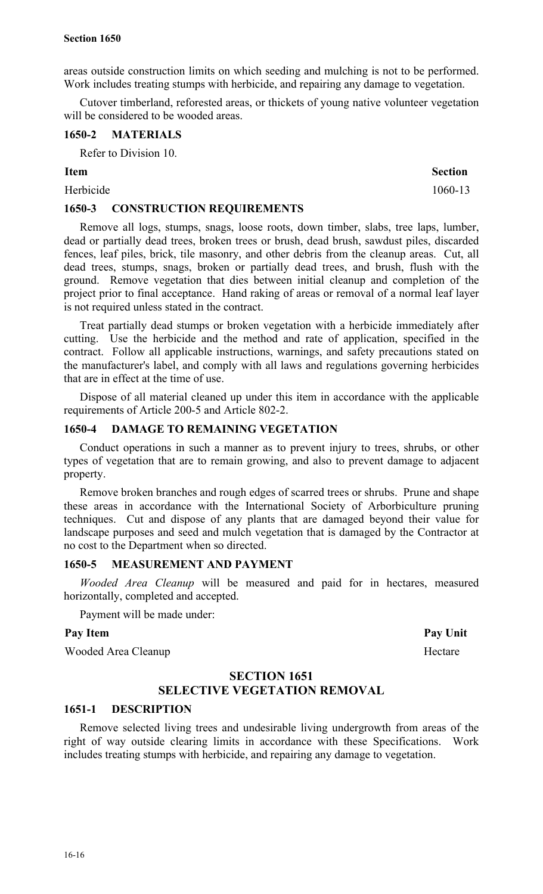areas outside construction limits on which seeding and mulching is not to be performed. Work includes treating stumps with herbicide, and repairing any damage to vegetation.

Cutover timberland, reforested areas, or thickets of young native volunteer vegetation will be considered to be wooded areas.

## **1650-2 MATERIALS**

Refer to Division 10.

Herbicide 1060-13

## **1650-3 CONSTRUCTION REQUIREMENTS**

Remove all logs, stumps, snags, loose roots, down timber, slabs, tree laps, lumber, dead or partially dead trees, broken trees or brush, dead brush, sawdust piles, discarded fences, leaf piles, brick, tile masonry, and other debris from the cleanup areas. Cut, all dead trees, stumps, snags, broken or partially dead trees, and brush, flush with the ground. Remove vegetation that dies between initial cleanup and completion of the project prior to final acceptance. Hand raking of areas or removal of a normal leaf layer is not required unless stated in the contract.

Treat partially dead stumps or broken vegetation with a herbicide immediately after cutting. Use the herbicide and the method and rate of application, specified in the contract. Follow all applicable instructions, warnings, and safety precautions stated on the manufacturer's label, and comply with all laws and regulations governing herbicides that are in effect at the time of use.

Dispose of all material cleaned up under this item in accordance with the applicable requirements of Article 200-5 and Article 802-2.

## **1650-4 DAMAGE TO REMAINING VEGETATION**

Conduct operations in such a manner as to prevent injury to trees, shrubs, or other types of vegetation that are to remain growing, and also to prevent damage to adjacent property.

Remove broken branches and rough edges of scarred trees or shrubs. Prune and shape these areas in accordance with the International Society of Arborbiculture pruning techniques. Cut and dispose of any plants that are damaged beyond their value for landscape purposes and seed and mulch vegetation that is damaged by the Contractor at no cost to the Department when so directed.

#### **1650-5 MEASUREMENT AND PAYMENT**

*Wooded Area Cleanup* will be measured and paid for in hectares, measured horizontally, completed and accepted.

Payment will be made under:

#### Pay Item **Pay Unit**

Wooded Area Cleanup Hectare

## **SECTION 1651**

## **SELECTIVE VEGETATION REMOVAL**

## **1651-1 DESCRIPTION**

Remove selected living trees and undesirable living undergrowth from areas of the right of way outside clearing limits in accordance with these Specifications. Work includes treating stumps with herbicide, and repairing any damage to vegetation.

**Item** Section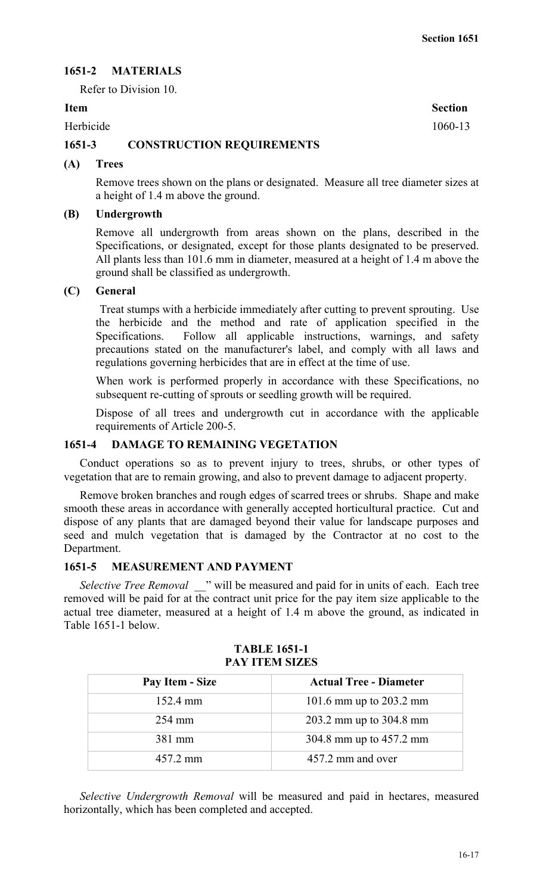## **1651-2 MATERIALS**

Refer to Division 10.

Herbicide 1060-13

## **1651-3 CONSTRUCTION REQUIREMENTS**

## **(A) Trees**

Remove trees shown on the plans or designated. Measure all tree diameter sizes at a height of 1.4 m above the ground.

#### **(B) Undergrowth**

Remove all undergrowth from areas shown on the plans, described in the Specifications, or designated, except for those plants designated to be preserved. All plants less than 101.6 mm in diameter, measured at a height of 1.4 m above the ground shall be classified as undergrowth.

## **(C) General**

Treat stumps with a herbicide immediately after cutting to prevent sprouting. Use the herbicide and the method and rate of application specified in the Specifications. Follow all applicable instructions, warnings, and safety precautions stated on the manufacturer's label, and comply with all laws and regulations governing herbicides that are in effect at the time of use.

When work is performed properly in accordance with these Specifications, no subsequent re-cutting of sprouts or seedling growth will be required.

Dispose of all trees and undergrowth cut in accordance with the applicable requirements of Article 200-5.

## **1651-4 DAMAGE TO REMAINING VEGETATION**

Conduct operations so as to prevent injury to trees, shrubs, or other types of vegetation that are to remain growing, and also to prevent damage to adjacent property.

Remove broken branches and rough edges of scarred trees or shrubs. Shape and make smooth these areas in accordance with generally accepted horticultural practice. Cut and dispose of any plants that are damaged beyond their value for landscape purposes and seed and mulch vegetation that is damaged by the Contractor at no cost to the Department.

#### **1651-5 MEASUREMENT AND PAYMENT**

*Selective Tree Removal*  $\blacksquare$  " will be measured and paid for in units of each. Each tree removed will be paid for at the contract unit price for the pay item size applicable to the actual tree diameter, measured at a height of 1.4 m above the ground, as indicated in Table 1651-1 below.

| Pay Item - Size    | <b>Actual Tree - Diameter</b> |
|--------------------|-------------------------------|
| $152.4 \text{ mm}$ | 101.6 mm up to $203.2$ mm     |
| 254 mm             | 203.2 mm up to 304.8 mm       |
| 381 mm             | 304.8 mm up to 457.2 mm       |
| 457.2 mm           | 457.2 mm and over             |

### **TABLE 1651-1 PAY ITEM SIZES**

*Selective Undergrowth Removal* will be measured and paid in hectares, measured horizontally, which has been completed and accepted.

**Item** Section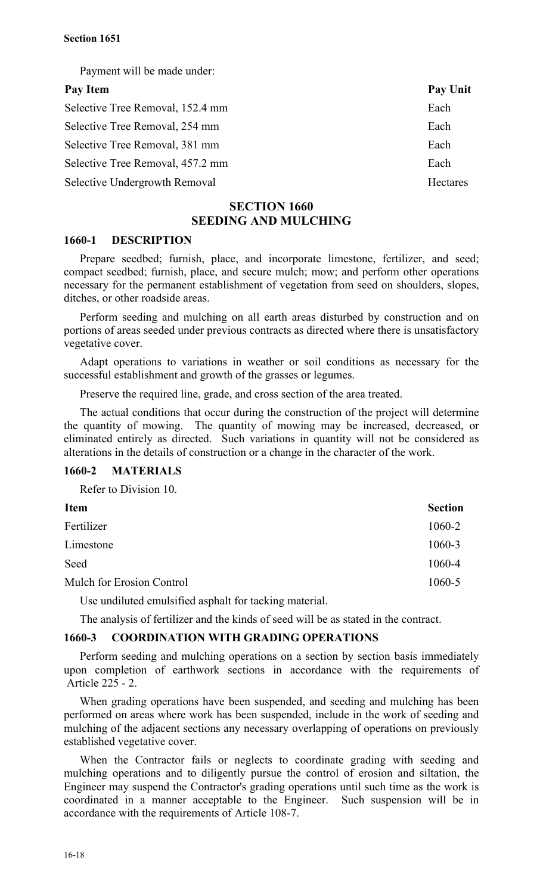Payment will be made under:

| Pay Item                         | Pay Unit        |
|----------------------------------|-----------------|
| Selective Tree Removal, 152.4 mm | Each            |
| Selective Tree Removal, 254 mm   | Each            |
| Selective Tree Removal, 381 mm   | Each            |
| Selective Tree Removal, 457.2 mm | Each            |
| Selective Undergrowth Removal    | <b>Hectares</b> |

## **SECTION 1660 SEEDING AND MULCHING**

## **1660-1 DESCRIPTION**

Prepare seedbed; furnish, place, and incorporate limestone, fertilizer, and seed; compact seedbed; furnish, place, and secure mulch; mow; and perform other operations necessary for the permanent establishment of vegetation from seed on shoulders, slopes, ditches, or other roadside areas.

Perform seeding and mulching on all earth areas disturbed by construction and on portions of areas seeded under previous contracts as directed where there is unsatisfactory vegetative cover.

Adapt operations to variations in weather or soil conditions as necessary for the successful establishment and growth of the grasses or legumes.

Preserve the required line, grade, and cross section of the area treated.

The actual conditions that occur during the construction of the project will determine the quantity of mowing. The quantity of mowing may be increased, decreased, or eliminated entirely as directed. Such variations in quantity will not be considered as alterations in the details of construction or a change in the character of the work.

#### **1660-2 MATERIALS**

Refer to Division 10.

| Item                             | <b>Section</b> |
|----------------------------------|----------------|
| Fertilizer                       | 1060-2         |
| Limestone                        | 1060-3         |
| Seed                             | 1060-4         |
| <b>Mulch for Erosion Control</b> | 1060-5         |
|                                  |                |

Use undiluted emulsified asphalt for tacking material.

The analysis of fertilizer and the kinds of seed will be as stated in the contract.

## **1660-3 COORDINATION WITH GRADING OPERATIONS**

Perform seeding and mulching operations on a section by section basis immediately upon completion of earthwork sections in accordance with the requirements of Article 225 - 2.

When grading operations have been suspended, and seeding and mulching has been performed on areas where work has been suspended, include in the work of seeding and mulching of the adjacent sections any necessary overlapping of operations on previously established vegetative cover.

When the Contractor fails or neglects to coordinate grading with seeding and mulching operations and to diligently pursue the control of erosion and siltation, the Engineer may suspend the Contractor's grading operations until such time as the work is coordinated in a manner acceptable to the Engineer. Such suspension will be in accordance with the requirements of Article 108-7.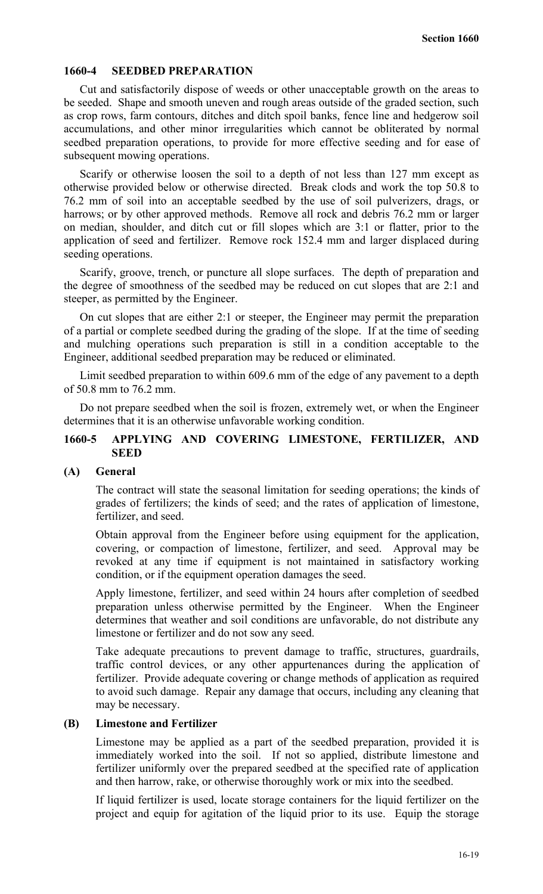## **1660-4 SEEDBED PREPARATION**

Cut and satisfactorily dispose of weeds or other unacceptable growth on the areas to be seeded. Shape and smooth uneven and rough areas outside of the graded section, such as crop rows, farm contours, ditches and ditch spoil banks, fence line and hedgerow soil accumulations, and other minor irregularities which cannot be obliterated by normal seedbed preparation operations, to provide for more effective seeding and for ease of subsequent mowing operations.

Scarify or otherwise loosen the soil to a depth of not less than 127 mm except as otherwise provided below or otherwise directed. Break clods and work the top 50.8 to 76.2 mm of soil into an acceptable seedbed by the use of soil pulverizers, drags, or harrows; or by other approved methods. Remove all rock and debris 76.2 mm or larger on median, shoulder, and ditch cut or fill slopes which are 3:1 or flatter, prior to the application of seed and fertilizer. Remove rock 152.4 mm and larger displaced during seeding operations.

Scarify, groove, trench, or puncture all slope surfaces. The depth of preparation and the degree of smoothness of the seedbed may be reduced on cut slopes that are 2:1 and steeper, as permitted by the Engineer.

On cut slopes that are either 2:1 or steeper, the Engineer may permit the preparation of a partial or complete seedbed during the grading of the slope. If at the time of seeding and mulching operations such preparation is still in a condition acceptable to the Engineer, additional seedbed preparation may be reduced or eliminated.

Limit seedbed preparation to within 609.6 mm of the edge of any pavement to a depth of 50.8 mm to 76.2 mm.

Do not prepare seedbed when the soil is frozen, extremely wet, or when the Engineer determines that it is an otherwise unfavorable working condition.

## **1660-5 APPLYING AND COVERING LIMESTONE, FERTILIZER, AND SEED**

#### **(A) General**

The contract will state the seasonal limitation for seeding operations; the kinds of grades of fertilizers; the kinds of seed; and the rates of application of limestone, fertilizer, and seed.

Obtain approval from the Engineer before using equipment for the application, covering, or compaction of limestone, fertilizer, and seed. Approval may be revoked at any time if equipment is not maintained in satisfactory working condition, or if the equipment operation damages the seed.

Apply limestone, fertilizer, and seed within 24 hours after completion of seedbed preparation unless otherwise permitted by the Engineer. When the Engineer determines that weather and soil conditions are unfavorable, do not distribute any limestone or fertilizer and do not sow any seed.

Take adequate precautions to prevent damage to traffic, structures, guardrails, traffic control devices, or any other appurtenances during the application of fertilizer. Provide adequate covering or change methods of application as required to avoid such damage. Repair any damage that occurs, including any cleaning that may be necessary.

### **(B) Limestone and Fertilizer**

Limestone may be applied as a part of the seedbed preparation, provided it is immediately worked into the soil. If not so applied, distribute limestone and fertilizer uniformly over the prepared seedbed at the specified rate of application and then harrow, rake, or otherwise thoroughly work or mix into the seedbed.

If liquid fertilizer is used, locate storage containers for the liquid fertilizer on the project and equip for agitation of the liquid prior to its use. Equip the storage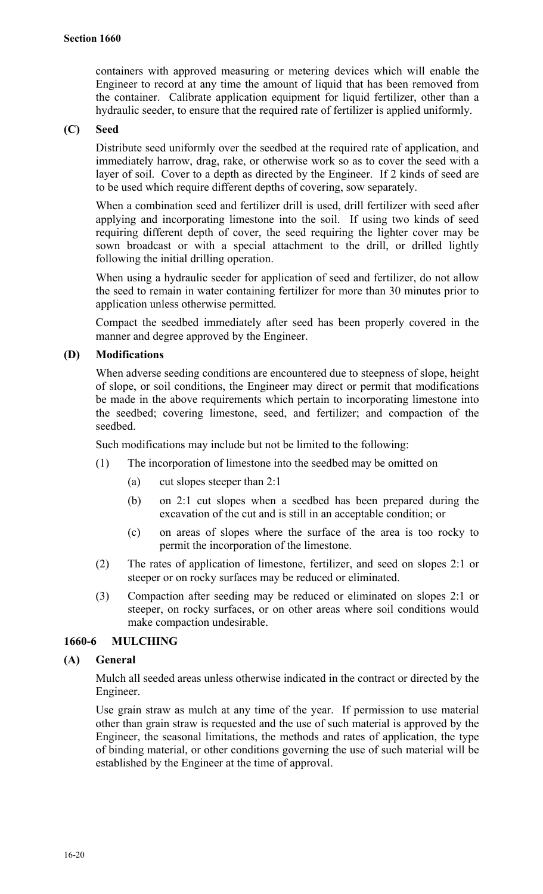containers with approved measuring or metering devices which will enable the Engineer to record at any time the amount of liquid that has been removed from the container. Calibrate application equipment for liquid fertilizer, other than a hydraulic seeder, to ensure that the required rate of fertilizer is applied uniformly.

## **(C) Seed**

Distribute seed uniformly over the seedbed at the required rate of application, and immediately harrow, drag, rake, or otherwise work so as to cover the seed with a layer of soil. Cover to a depth as directed by the Engineer. If 2 kinds of seed are to be used which require different depths of covering, sow separately.

When a combination seed and fertilizer drill is used, drill fertilizer with seed after applying and incorporating limestone into the soil. If using two kinds of seed requiring different depth of cover, the seed requiring the lighter cover may be sown broadcast or with a special attachment to the drill, or drilled lightly following the initial drilling operation.

When using a hydraulic seeder for application of seed and fertilizer, do not allow the seed to remain in water containing fertilizer for more than 30 minutes prior to application unless otherwise permitted.

Compact the seedbed immediately after seed has been properly covered in the manner and degree approved by the Engineer.

## **(D) Modifications**

When adverse seeding conditions are encountered due to steepness of slope, height of slope, or soil conditions, the Engineer may direct or permit that modifications be made in the above requirements which pertain to incorporating limestone into the seedbed; covering limestone, seed, and fertilizer; and compaction of the seedbed.

Such modifications may include but not be limited to the following:

- (1) The incorporation of limestone into the seedbed may be omitted on
	- (a) cut slopes steeper than 2:1
	- (b) on 2:1 cut slopes when a seedbed has been prepared during the excavation of the cut and is still in an acceptable condition; or
	- (c) on areas of slopes where the surface of the area is too rocky to permit the incorporation of the limestone.
- (2) The rates of application of limestone, fertilizer, and seed on slopes 2:1 or steeper or on rocky surfaces may be reduced or eliminated.
- (3) Compaction after seeding may be reduced or eliminated on slopes 2:1 or steeper, on rocky surfaces, or on other areas where soil conditions would make compaction undesirable.

### **1660-6 MULCHING**

#### **(A) General**

Mulch all seeded areas unless otherwise indicated in the contract or directed by the Engineer.

Use grain straw as mulch at any time of the year. If permission to use material other than grain straw is requested and the use of such material is approved by the Engineer, the seasonal limitations, the methods and rates of application, the type of binding material, or other conditions governing the use of such material will be established by the Engineer at the time of approval.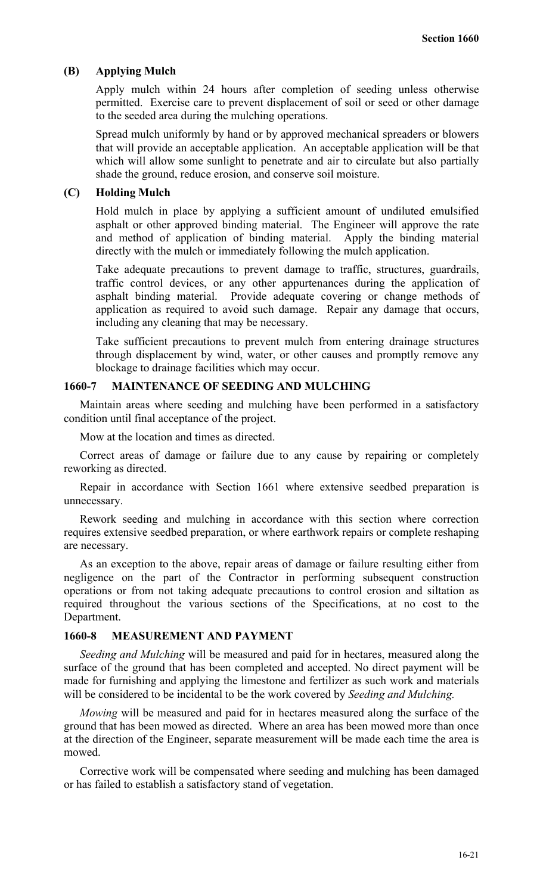#### **(B) Applying Mulch**

Apply mulch within 24 hours after completion of seeding unless otherwise permitted. Exercise care to prevent displacement of soil or seed or other damage to the seeded area during the mulching operations.

Spread mulch uniformly by hand or by approved mechanical spreaders or blowers that will provide an acceptable application. An acceptable application will be that which will allow some sunlight to penetrate and air to circulate but also partially shade the ground, reduce erosion, and conserve soil moisture.

#### **(C) Holding Mulch**

Hold mulch in place by applying a sufficient amount of undiluted emulsified asphalt or other approved binding material. The Engineer will approve the rate and method of application of binding material. Apply the binding material directly with the mulch or immediately following the mulch application.

Take adequate precautions to prevent damage to traffic, structures, guardrails, traffic control devices, or any other appurtenances during the application of asphalt binding material. Provide adequate covering or change methods of application as required to avoid such damage. Repair any damage that occurs, including any cleaning that may be necessary.

Take sufficient precautions to prevent mulch from entering drainage structures through displacement by wind, water, or other causes and promptly remove any blockage to drainage facilities which may occur.

#### **1660-7 MAINTENANCE OF SEEDING AND MULCHING**

Maintain areas where seeding and mulching have been performed in a satisfactory condition until final acceptance of the project.

Mow at the location and times as directed.

Correct areas of damage or failure due to any cause by repairing or completely reworking as directed.

Repair in accordance with Section 1661 where extensive seedbed preparation is unnecessary.

Rework seeding and mulching in accordance with this section where correction requires extensive seedbed preparation, or where earthwork repairs or complete reshaping are necessary.

As an exception to the above, repair areas of damage or failure resulting either from negligence on the part of the Contractor in performing subsequent construction operations or from not taking adequate precautions to control erosion and siltation as required throughout the various sections of the Specifications, at no cost to the Department.

## **1660-8 MEASUREMENT AND PAYMENT**

*Seeding and Mulching* will be measured and paid for in hectares, measured along the surface of the ground that has been completed and accepted. No direct payment will be made for furnishing and applying the limestone and fertilizer as such work and materials will be considered to be incidental to be the work covered by *Seeding and Mulching.*

*Mowing* will be measured and paid for in hectares measured along the surface of the ground that has been mowed as directed. Where an area has been mowed more than once at the direction of the Engineer, separate measurement will be made each time the area is mowed.

Corrective work will be compensated where seeding and mulching has been damaged or has failed to establish a satisfactory stand of vegetation.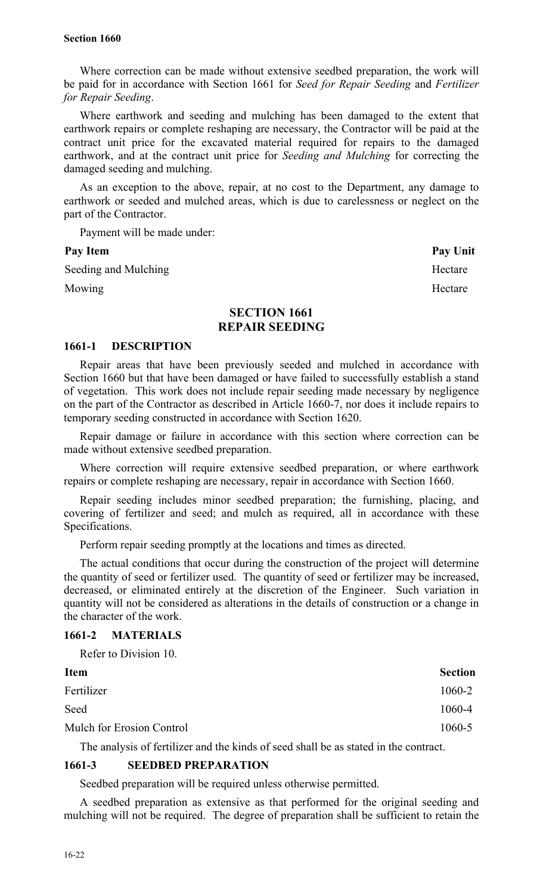Where correction can be made without extensive seedbed preparation, the work will be paid for in accordance with Section 1661 for *Seed for Repair Seeding* and *Fertilizer for Repair Seeding*.

Where earthwork and seeding and mulching has been damaged to the extent that earthwork repairs or complete reshaping are necessary, the Contractor will be paid at the contract unit price for the excavated material required for repairs to the damaged earthwork, and at the contract unit price for *Seeding and Mulching* for correcting the damaged seeding and mulching.

As an exception to the above, repair, at no cost to the Department, any damage to earthwork or seeded and mulched areas, which is due to carelessness or neglect on the part of the Contractor.

Payment will be made under:

Seeding and Mulching Hectare

Mowing Hectare

Pay Item Pay Unit

## **SECTION 1661 REPAIR SEEDING**

#### **1661-1 DESCRIPTION**

Repair areas that have been previously seeded and mulched in accordance with Section 1660 but that have been damaged or have failed to successfully establish a stand of vegetation. This work does not include repair seeding made necessary by negligence on the part of the Contractor as described in Article 1660-7, nor does it include repairs to temporary seeding constructed in accordance with Section 1620.

Repair damage or failure in accordance with this section where correction can be made without extensive seedbed preparation.

Where correction will require extensive seedbed preparation, or where earthwork repairs or complete reshaping are necessary, repair in accordance with Section 1660.

Repair seeding includes minor seedbed preparation; the furnishing, placing, and covering of fertilizer and seed; and mulch as required, all in accordance with these Specifications.

Perform repair seeding promptly at the locations and times as directed.

The actual conditions that occur during the construction of the project will determine the quantity of seed or fertilizer used. The quantity of seed or fertilizer may be increased, decreased, or eliminated entirely at the discretion of the Engineer. Such variation in quantity will not be considered as alterations in the details of construction or a change in the character of the work.

## **1661-2 MATERIALS**

Refer to Division 10.

| <b>Item</b>               | <b>Section</b> |
|---------------------------|----------------|
| Fertilizer                | 1060-2         |
| Seed                      | 1060-4         |
| Mulch for Erosion Control | 1060-5         |

The analysis of fertilizer and the kinds of seed shall be as stated in the contract.

## **1661-3 SEEDBED PREPARATION**

Seedbed preparation will be required unless otherwise permitted.

A seedbed preparation as extensive as that performed for the original seeding and mulching will not be required. The degree of preparation shall be sufficient to retain the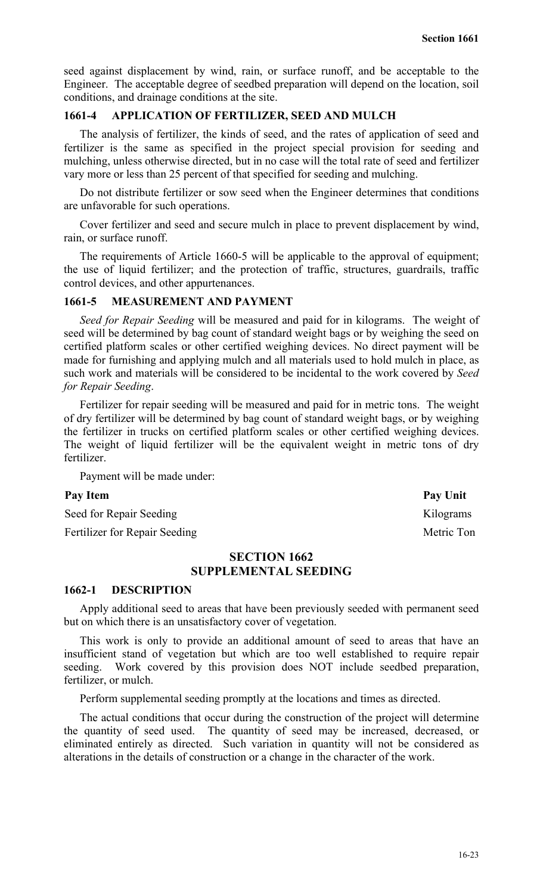seed against displacement by wind, rain, or surface runoff, and be acceptable to the Engineer. The acceptable degree of seedbed preparation will depend on the location, soil conditions, and drainage conditions at the site.

## **1661-4 APPLICATION OF FERTILIZER, SEED AND MULCH**

The analysis of fertilizer, the kinds of seed, and the rates of application of seed and fertilizer is the same as specified in the project special provision for seeding and mulching, unless otherwise directed, but in no case will the total rate of seed and fertilizer vary more or less than 25 percent of that specified for seeding and mulching.

Do not distribute fertilizer or sow seed when the Engineer determines that conditions are unfavorable for such operations.

Cover fertilizer and seed and secure mulch in place to prevent displacement by wind, rain, or surface runoff.

The requirements of Article 1660-5 will be applicable to the approval of equipment; the use of liquid fertilizer; and the protection of traffic, structures, guardrails, traffic control devices, and other appurtenances.

#### **1661-5 MEASUREMENT AND PAYMENT**

*Seed for Repair Seeding* will be measured and paid for in kilograms. The weight of seed will be determined by bag count of standard weight bags or by weighing the seed on certified platform scales or other certified weighing devices. No direct payment will be made for furnishing and applying mulch and all materials used to hold mulch in place, as such work and materials will be considered to be incidental to the work covered by *Seed for Repair Seeding*.

Fertilizer for repair seeding will be measured and paid for in metric tons. The weight of dry fertilizer will be determined by bag count of standard weight bags, or by weighing the fertilizer in trucks on certified platform scales or other certified weighing devices. The weight of liquid fertilizer will be the equivalent weight in metric tons of dry fertilizer.

Payment will be made under:

#### Pay Item **Pay Unit**

Seed for Repair Seeding Kilograms

Fertilizer for Repair Seeding Metric Ton

## **SECTION 1662 SUPPLEMENTAL SEEDING**

#### **1662-1 DESCRIPTION**

Apply additional seed to areas that have been previously seeded with permanent seed but on which there is an unsatisfactory cover of vegetation.

This work is only to provide an additional amount of seed to areas that have an insufficient stand of vegetation but which are too well established to require repair seeding. Work covered by this provision does NOT include seedbed preparation, fertilizer, or mulch.

Perform supplemental seeding promptly at the locations and times as directed.

The actual conditions that occur during the construction of the project will determine the quantity of seed used. The quantity of seed may be increased, decreased, or eliminated entirely as directed. Such variation in quantity will not be considered as alterations in the details of construction or a change in the character of the work.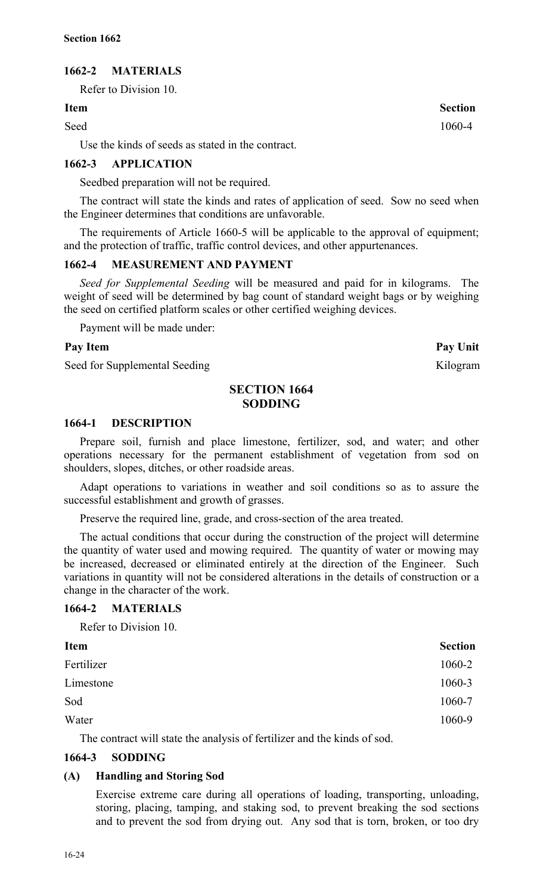## **1662-2 MATERIALS**

Refer to Division 10.

#### **Item Section**

Seed 1060-4

Use the kinds of seeds as stated in the contract.

## **1662-3 APPLICATION**

Seedbed preparation will not be required.

The contract will state the kinds and rates of application of seed. Sow no seed when the Engineer determines that conditions are unfavorable.

The requirements of Article 1660-5 will be applicable to the approval of equipment; and the protection of traffic, traffic control devices, and other appurtenances.

## **1662-4 MEASUREMENT AND PAYMENT**

*Seed for Supplemental Seeding* will be measured and paid for in kilograms. The weight of seed will be determined by bag count of standard weight bags or by weighing the seed on certified platform scales or other certified weighing devices.

Payment will be made under:

#### **Pay Item Pay Unit**

Seed for Supplemental Seeding Kilogram

## **SECTION 1664 SODDING**

#### **1664-1 DESCRIPTION**

Prepare soil, furnish and place limestone, fertilizer, sod, and water; and other operations necessary for the permanent establishment of vegetation from sod on shoulders, slopes, ditches, or other roadside areas.

Adapt operations to variations in weather and soil conditions so as to assure the successful establishment and growth of grasses.

Preserve the required line, grade, and cross-section of the area treated.

The actual conditions that occur during the construction of the project will determine the quantity of water used and mowing required. The quantity of water or mowing may be increased, decreased or eliminated entirely at the direction of the Engineer. Such variations in quantity will not be considered alterations in the details of construction or a change in the character of the work.

#### **1664-2 MATERIALS**

Refer to Division 10.

| <b>Item</b> | <b>Section</b> |
|-------------|----------------|
| Fertilizer  | 1060-2         |
| Limestone   | 1060-3         |
| Sod         | 1060-7         |
| Water       | 1060-9         |

The contract will state the analysis of fertilizer and the kinds of sod.

#### **1664-3 SODDING**

## **(A) Handling and Storing Sod**

Exercise extreme care during all operations of loading, transporting, unloading, storing, placing, tamping, and staking sod, to prevent breaking the sod sections and to prevent the sod from drying out. Any sod that is torn, broken, or too dry

16-24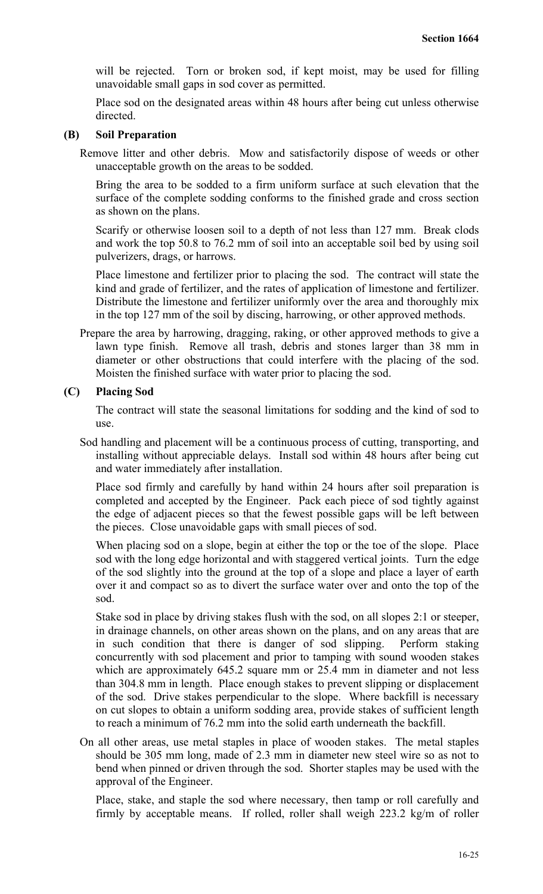will be rejected. Torn or broken sod, if kept moist, may be used for filling unavoidable small gaps in sod cover as permitted.

Place sod on the designated areas within 48 hours after being cut unless otherwise directed.

## **(B) Soil Preparation**

Remove litter and other debris. Mow and satisfactorily dispose of weeds or other unacceptable growth on the areas to be sodded.

Bring the area to be sodded to a firm uniform surface at such elevation that the surface of the complete sodding conforms to the finished grade and cross section as shown on the plans.

Scarify or otherwise loosen soil to a depth of not less than 127 mm. Break clods and work the top 50.8 to 76.2 mm of soil into an acceptable soil bed by using soil pulverizers, drags, or harrows.

Place limestone and fertilizer prior to placing the sod. The contract will state the kind and grade of fertilizer, and the rates of application of limestone and fertilizer. Distribute the limestone and fertilizer uniformly over the area and thoroughly mix in the top 127 mm of the soil by discing, harrowing, or other approved methods.

Prepare the area by harrowing, dragging, raking, or other approved methods to give a lawn type finish. Remove all trash, debris and stones larger than 38 mm in diameter or other obstructions that could interfere with the placing of the sod. Moisten the finished surface with water prior to placing the sod.

## **(C) Placing Sod**

The contract will state the seasonal limitations for sodding and the kind of sod to use.

Sod handling and placement will be a continuous process of cutting, transporting, and installing without appreciable delays. Install sod within 48 hours after being cut and water immediately after installation.

Place sod firmly and carefully by hand within 24 hours after soil preparation is completed and accepted by the Engineer. Pack each piece of sod tightly against the edge of adjacent pieces so that the fewest possible gaps will be left between the pieces. Close unavoidable gaps with small pieces of sod.

When placing sod on a slope, begin at either the top or the toe of the slope. Place sod with the long edge horizontal and with staggered vertical joints. Turn the edge of the sod slightly into the ground at the top of a slope and place a layer of earth over it and compact so as to divert the surface water over and onto the top of the sod.

Stake sod in place by driving stakes flush with the sod, on all slopes 2:1 or steeper, in drainage channels, on other areas shown on the plans, and on any areas that are in such condition that there is danger of sod slipping. Perform staking concurrently with sod placement and prior to tamping with sound wooden stakes which are approximately 645.2 square mm or 25.4 mm in diameter and not less than 304.8 mm in length. Place enough stakes to prevent slipping or displacement of the sod. Drive stakes perpendicular to the slope. Where backfill is necessary on cut slopes to obtain a uniform sodding area, provide stakes of sufficient length to reach a minimum of 76.2 mm into the solid earth underneath the backfill.

On all other areas, use metal staples in place of wooden stakes. The metal staples should be 305 mm long, made of 2.3 mm in diameter new steel wire so as not to bend when pinned or driven through the sod. Shorter staples may be used with the approval of the Engineer.

Place, stake, and staple the sod where necessary, then tamp or roll carefully and firmly by acceptable means. If rolled, roller shall weigh 223.2 kg/m of roller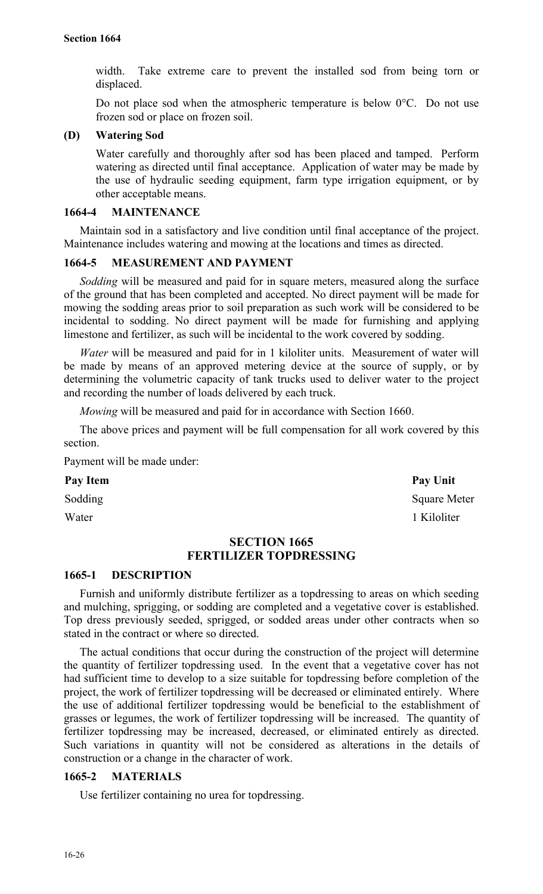width. Take extreme care to prevent the installed sod from being torn or displaced.

Do not place sod when the atmospheric temperature is below 0°C. Do not use frozen sod or place on frozen soil.

## **(D) Watering Sod**

Water carefully and thoroughly after sod has been placed and tamped. Perform watering as directed until final acceptance. Application of water may be made by the use of hydraulic seeding equipment, farm type irrigation equipment, or by other acceptable means.

#### **1664-4 MAINTENANCE**

Maintain sod in a satisfactory and live condition until final acceptance of the project. Maintenance includes watering and mowing at the locations and times as directed.

## **1664-5 MEASUREMENT AND PAYMENT**

*Sodding* will be measured and paid for in square meters, measured along the surface of the ground that has been completed and accepted. No direct payment will be made for mowing the sodding areas prior to soil preparation as such work will be considered to be incidental to sodding. No direct payment will be made for furnishing and applying limestone and fertilizer, as such will be incidental to the work covered by sodding.

*Water* will be measured and paid for in 1 kiloliter units. Measurement of water will be made by means of an approved metering device at the source of supply, or by determining the volumetric capacity of tank trucks used to deliver water to the project and recording the number of loads delivered by each truck.

*Mowing* will be measured and paid for in accordance with Section 1660.

The above prices and payment will be full compensation for all work covered by this section.

Payment will be made under:

#### Pay Item Pay Unit

# Sodding Square Meter Water 1 Kiloliter

## **SECTION 1665 FERTILIZER TOPDRESSING**

#### **1665-1 DESCRIPTION**

Furnish and uniformly distribute fertilizer as a topdressing to areas on which seeding and mulching, sprigging, or sodding are completed and a vegetative cover is established. Top dress previously seeded, sprigged, or sodded areas under other contracts when so stated in the contract or where so directed.

The actual conditions that occur during the construction of the project will determine the quantity of fertilizer topdressing used. In the event that a vegetative cover has not had sufficient time to develop to a size suitable for topdressing before completion of the project, the work of fertilizer topdressing will be decreased or eliminated entirely. Where the use of additional fertilizer topdressing would be beneficial to the establishment of grasses or legumes, the work of fertilizer topdressing will be increased. The quantity of fertilizer topdressing may be increased, decreased, or eliminated entirely as directed. Such variations in quantity will not be considered as alterations in the details of construction or a change in the character of work.

#### **1665-2 MATERIALS**

Use fertilizer containing no urea for topdressing.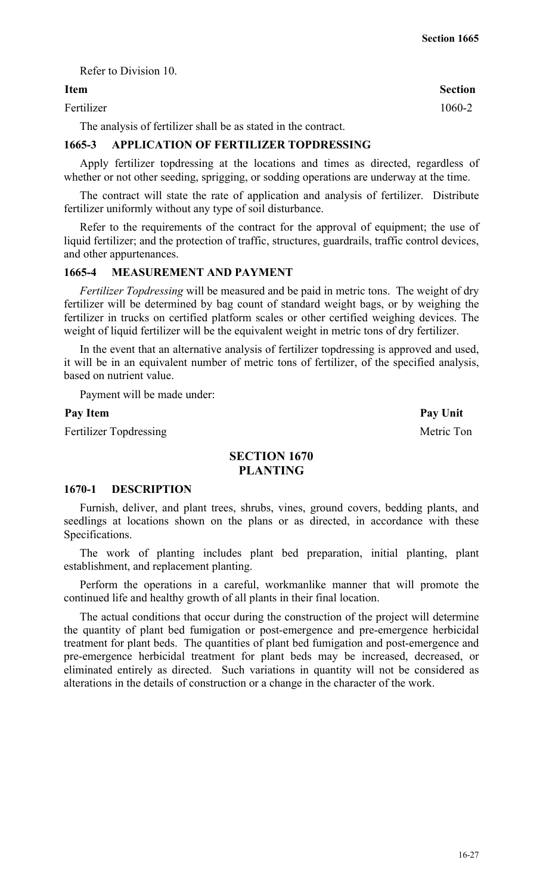#### Refer to Division 10.

#### **Item Section**

Fertilizer 1060-2

The analysis of fertilizer shall be as stated in the contract.

## **1665-3 APPLICATION OF FERTILIZER TOPDRESSING**

Apply fertilizer topdressing at the locations and times as directed, regardless of whether or not other seeding, sprigging, or sodding operations are underway at the time.

The contract will state the rate of application and analysis of fertilizer. Distribute fertilizer uniformly without any type of soil disturbance.

Refer to the requirements of the contract for the approval of equipment; the use of liquid fertilizer; and the protection of traffic, structures, guardrails, traffic control devices, and other appurtenances.

#### **1665-4 MEASUREMENT AND PAYMENT**

*Fertilizer Topdressing* will be measured and be paid in metric tons. The weight of dry fertilizer will be determined by bag count of standard weight bags, or by weighing the fertilizer in trucks on certified platform scales or other certified weighing devices. The weight of liquid fertilizer will be the equivalent weight in metric tons of dry fertilizer.

In the event that an alternative analysis of fertilizer topdressing is approved and used, it will be in an equivalent number of metric tons of fertilizer, of the specified analysis, based on nutrient value.

Payment will be made under:

Fertilizer Topdressing Metric Ton

Pay Item Pay Unit

## **SECTION 1670 PLANTING**

#### **1670-1 DESCRIPTION**

Furnish, deliver, and plant trees, shrubs, vines, ground covers, bedding plants, and seedlings at locations shown on the plans or as directed, in accordance with these Specifications.

The work of planting includes plant bed preparation, initial planting, plant establishment, and replacement planting.

Perform the operations in a careful, workmanlike manner that will promote the continued life and healthy growth of all plants in their final location.

The actual conditions that occur during the construction of the project will determine the quantity of plant bed fumigation or post-emergence and pre-emergence herbicidal treatment for plant beds. The quantities of plant bed fumigation and post-emergence and pre-emergence herbicidal treatment for plant beds may be increased, decreased, or eliminated entirely as directed. Such variations in quantity will not be considered as alterations in the details of construction or a change in the character of the work.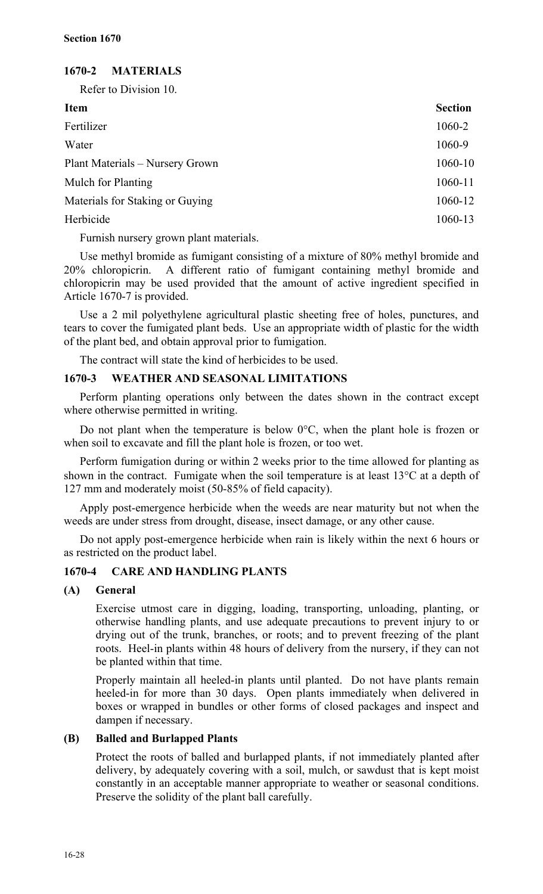## **1670-2 MATERIALS**

Refer to Division 10.

| <b>Item</b>                     | <b>Section</b> |
|---------------------------------|----------------|
| Fertilizer                      | 1060-2         |
| Water                           | 1060-9         |
| Plant Materials – Nursery Grown | 1060-10        |
| <b>Mulch for Planting</b>       | 1060-11        |
| Materials for Staking or Guying | 1060-12        |
| Herbicide                       | 1060-13        |

Furnish nursery grown plant materials.

Use methyl bromide as fumigant consisting of a mixture of 80% methyl bromide and 20% chloropicrin. A different ratio of fumigant containing methyl bromide and chloropicrin may be used provided that the amount of active ingredient specified in Article 1670-7 is provided.

Use a 2 mil polyethylene agricultural plastic sheeting free of holes, punctures, and tears to cover the fumigated plant beds. Use an appropriate width of plastic for the width of the plant bed, and obtain approval prior to fumigation.

The contract will state the kind of herbicides to be used.

## **1670-3 WEATHER AND SEASONAL LIMITATIONS**

Perform planting operations only between the dates shown in the contract except where otherwise permitted in writing.

Do not plant when the temperature is below 0°C, when the plant hole is frozen or when soil to excavate and fill the plant hole is frozen, or too wet.

Perform fumigation during or within 2 weeks prior to the time allowed for planting as shown in the contract. Fumigate when the soil temperature is at least 13°C at a depth of 127 mm and moderately moist (50-85% of field capacity).

Apply post-emergence herbicide when the weeds are near maturity but not when the weeds are under stress from drought, disease, insect damage, or any other cause.

Do not apply post-emergence herbicide when rain is likely within the next 6 hours or as restricted on the product label.

## **1670-4 CARE AND HANDLING PLANTS**

## **(A) General**

Exercise utmost care in digging, loading, transporting, unloading, planting, or otherwise handling plants, and use adequate precautions to prevent injury to or drying out of the trunk, branches, or roots; and to prevent freezing of the plant roots. Heel-in plants within 48 hours of delivery from the nursery, if they can not be planted within that time.

Properly maintain all heeled-in plants until planted. Do not have plants remain heeled-in for more than 30 days. Open plants immediately when delivered in boxes or wrapped in bundles or other forms of closed packages and inspect and dampen if necessary.

## **(B) Balled and Burlapped Plants**

Protect the roots of balled and burlapped plants, if not immediately planted after delivery, by adequately covering with a soil, mulch, or sawdust that is kept moist constantly in an acceptable manner appropriate to weather or seasonal conditions. Preserve the solidity of the plant ball carefully.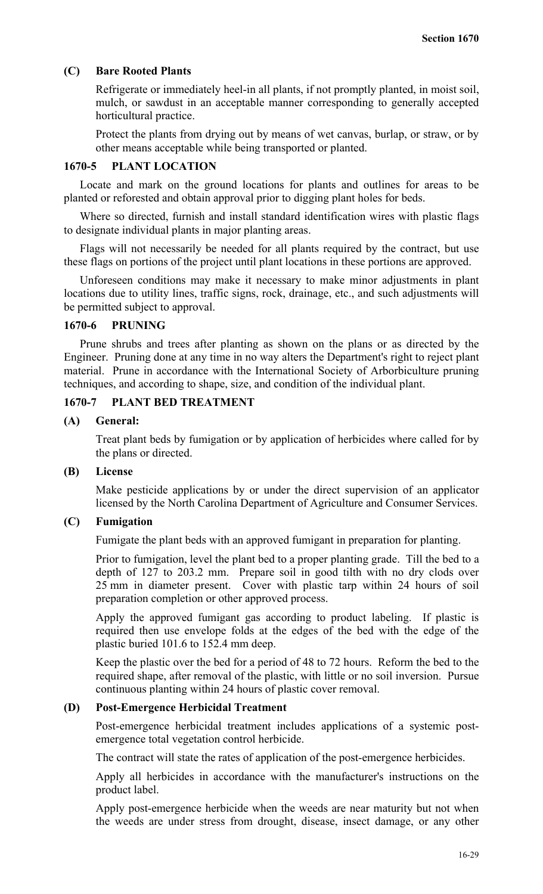#### **(C) Bare Rooted Plants**

Refrigerate or immediately heel-in all plants, if not promptly planted, in moist soil, mulch, or sawdust in an acceptable manner corresponding to generally accepted horticultural practice.

Protect the plants from drying out by means of wet canvas, burlap, or straw, or by other means acceptable while being transported or planted.

#### **1670-5 PLANT LOCATION**

Locate and mark on the ground locations for plants and outlines for areas to be planted or reforested and obtain approval prior to digging plant holes for beds.

Where so directed, furnish and install standard identification wires with plastic flags to designate individual plants in major planting areas.

Flags will not necessarily be needed for all plants required by the contract, but use these flags on portions of the project until plant locations in these portions are approved.

Unforeseen conditions may make it necessary to make minor adjustments in plant locations due to utility lines, traffic signs, rock, drainage, etc., and such adjustments will be permitted subject to approval.

## **1670-6 PRUNING**

Prune shrubs and trees after planting as shown on the plans or as directed by the Engineer. Pruning done at any time in no way alters the Department's right to reject plant material. Prune in accordance with the International Society of Arborbiculture pruning techniques, and according to shape, size, and condition of the individual plant.

## **1670-7 PLANT BED TREATMENT**

#### **(A) General:**

Treat plant beds by fumigation or by application of herbicides where called for by the plans or directed.

## **(B) License**

Make pesticide applications by or under the direct supervision of an applicator licensed by the North Carolina Department of Agriculture and Consumer Services.

#### **(C) Fumigation**

Fumigate the plant beds with an approved fumigant in preparation for planting.

Prior to fumigation, level the plant bed to a proper planting grade. Till the bed to a depth of 127 to 203.2 mm. Prepare soil in good tilth with no dry clods over 25 mm in diameter present. Cover with plastic tarp within 24 hours of soil preparation completion or other approved process.

Apply the approved fumigant gas according to product labeling. If plastic is required then use envelope folds at the edges of the bed with the edge of the plastic buried 101.6 to 152.4 mm deep.

Keep the plastic over the bed for a period of 48 to 72 hours. Reform the bed to the required shape, after removal of the plastic, with little or no soil inversion. Pursue continuous planting within 24 hours of plastic cover removal.

#### **(D) Post-Emergence Herbicidal Treatment**

Post-emergence herbicidal treatment includes applications of a systemic postemergence total vegetation control herbicide.

The contract will state the rates of application of the post-emergence herbicides.

Apply all herbicides in accordance with the manufacturer's instructions on the product label.

Apply post-emergence herbicide when the weeds are near maturity but not when the weeds are under stress from drought, disease, insect damage, or any other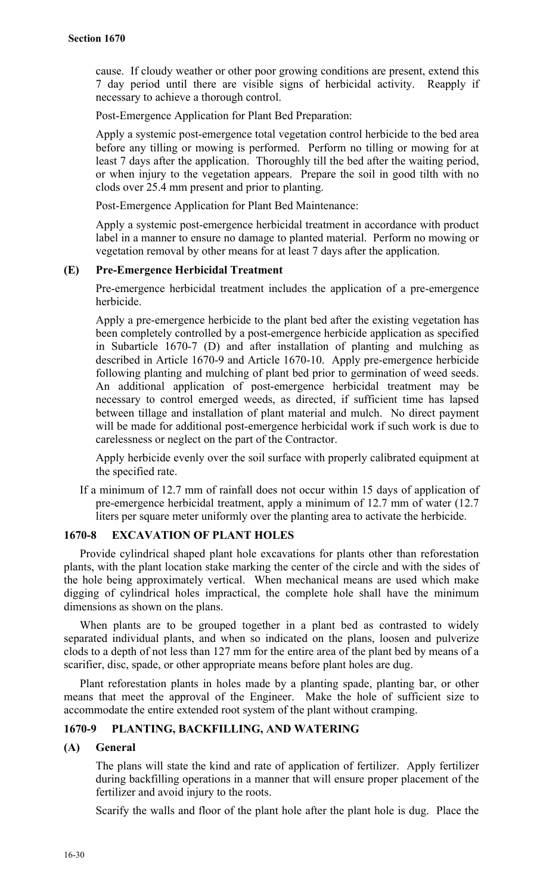cause. If cloudy weather or other poor growing conditions are present, extend this 7 day period until there are visible signs of herbicidal activity. Reapply if necessary to achieve a thorough control.

Post-Emergence Application for Plant Bed Preparation:

Apply a systemic post-emergence total vegetation control herbicide to the bed area before any tilling or mowing is performed. Perform no tilling or mowing for at least 7 days after the application. Thoroughly till the bed after the waiting period, or when injury to the vegetation appears. Prepare the soil in good tilth with no clods over 25.4 mm present and prior to planting.

Post-Emergence Application for Plant Bed Maintenance:

Apply a systemic post-emergence herbicidal treatment in accordance with product label in a manner to ensure no damage to planted material. Perform no mowing or vegetation removal by other means for at least 7 days after the application.

## **(E) Pre-Emergence Herbicidal Treatment**

Pre-emergence herbicidal treatment includes the application of a pre-emergence herbicide.

Apply a pre-emergence herbicide to the plant bed after the existing vegetation has been completely controlled by a post-emergence herbicide application as specified in Subarticle 1670-7 (D) and after installation of planting and mulching as described in Article 1670-9 and Article 1670-10. Apply pre-emergence herbicide following planting and mulching of plant bed prior to germination of weed seeds. An additional application of post-emergence herbicidal treatment may be necessary to control emerged weeds, as directed, if sufficient time has lapsed between tillage and installation of plant material and mulch. No direct payment will be made for additional post-emergence herbicidal work if such work is due to carelessness or neglect on the part of the Contractor.

Apply herbicide evenly over the soil surface with properly calibrated equipment at the specified rate.

If a minimum of 12.7 mm of rainfall does not occur within 15 days of application of pre-emergence herbicidal treatment, apply a minimum of 12.7 mm of water (12.7 liters per square meter uniformly over the planting area to activate the herbicide.

#### **1670-8 EXCAVATION OF PLANT HOLES**

Provide cylindrical shaped plant hole excavations for plants other than reforestation plants, with the plant location stake marking the center of the circle and with the sides of the hole being approximately vertical. When mechanical means are used which make digging of cylindrical holes impractical, the complete hole shall have the minimum dimensions as shown on the plans.

When plants are to be grouped together in a plant bed as contrasted to widely separated individual plants, and when so indicated on the plans, loosen and pulverize clods to a depth of not less than 127 mm for the entire area of the plant bed by means of a scarifier, disc, spade, or other appropriate means before plant holes are dug.

Plant reforestation plants in holes made by a planting spade, planting bar, or other means that meet the approval of the Engineer. Make the hole of sufficient size to accommodate the entire extended root system of the plant without cramping.

#### **1670-9 PLANTING, BACKFILLING, AND WATERING**

#### **(A) General**

The plans will state the kind and rate of application of fertilizer. Apply fertilizer during backfilling operations in a manner that will ensure proper placement of the fertilizer and avoid injury to the roots.

Scarify the walls and floor of the plant hole after the plant hole is dug. Place the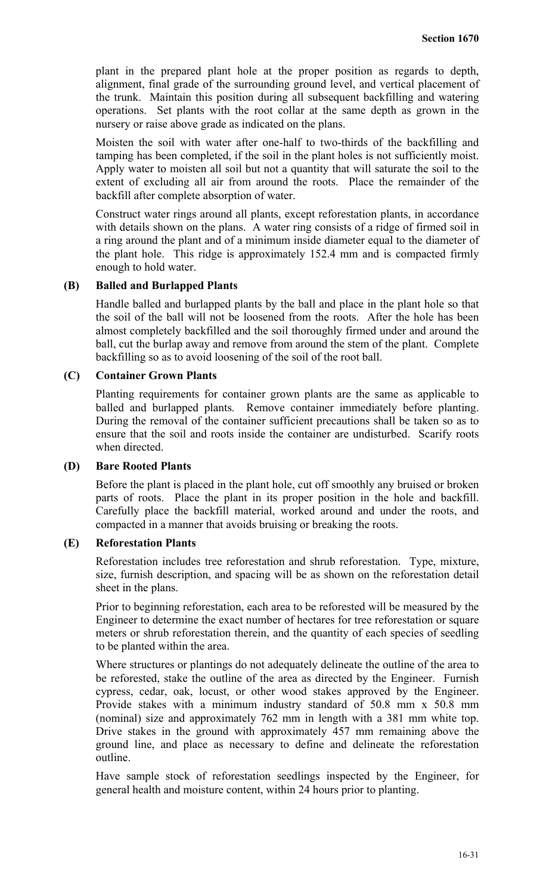plant in the prepared plant hole at the proper position as regards to depth, alignment, final grade of the surrounding ground level, and vertical placement of the trunk. Maintain this position during all subsequent backfilling and watering operations. Set plants with the root collar at the same depth as grown in the nursery or raise above grade as indicated on the plans.

Moisten the soil with water after one-half to two-thirds of the backfilling and tamping has been completed, if the soil in the plant holes is not sufficiently moist. Apply water to moisten all soil but not a quantity that will saturate the soil to the extent of excluding all air from around the roots. Place the remainder of the backfill after complete absorption of water.

Construct water rings around all plants, except reforestation plants, in accordance with details shown on the plans. A water ring consists of a ridge of firmed soil in a ring around the plant and of a minimum inside diameter equal to the diameter of the plant hole. This ridge is approximately 152.4 mm and is compacted firmly enough to hold water.

#### **(B) Balled and Burlapped Plants**

Handle balled and burlapped plants by the ball and place in the plant hole so that the soil of the ball will not be loosened from the roots. After the hole has been almost completely backfilled and the soil thoroughly firmed under and around the ball, cut the burlap away and remove from around the stem of the plant. Complete backfilling so as to avoid loosening of the soil of the root ball.

## **(C) Container Grown Plants**

Planting requirements for container grown plants are the same as applicable to balled and burlapped plants. Remove container immediately before planting. During the removal of the container sufficient precautions shall be taken so as to ensure that the soil and roots inside the container are undisturbed. Scarify roots when directed.

#### **(D) Bare Rooted Plants**

Before the plant is placed in the plant hole, cut off smoothly any bruised or broken parts of roots. Place the plant in its proper position in the hole and backfill. Carefully place the backfill material, worked around and under the roots, and compacted in a manner that avoids bruising or breaking the roots.

#### **(E) Reforestation Plants**

Reforestation includes tree reforestation and shrub reforestation. Type, mixture, size, furnish description, and spacing will be as shown on the reforestation detail sheet in the plans.

Prior to beginning reforestation, each area to be reforested will be measured by the Engineer to determine the exact number of hectares for tree reforestation or square meters or shrub reforestation therein, and the quantity of each species of seedling to be planted within the area.

Where structures or plantings do not adequately delineate the outline of the area to be reforested, stake the outline of the area as directed by the Engineer. Furnish cypress, cedar, oak, locust, or other wood stakes approved by the Engineer. Provide stakes with a minimum industry standard of 50.8 mm x 50.8 mm (nominal) size and approximately 762 mm in length with a 381 mm white top. Drive stakes in the ground with approximately 457 mm remaining above the ground line, and place as necessary to define and delineate the reforestation outline.

Have sample stock of reforestation seedlings inspected by the Engineer, for general health and moisture content, within 24 hours prior to planting.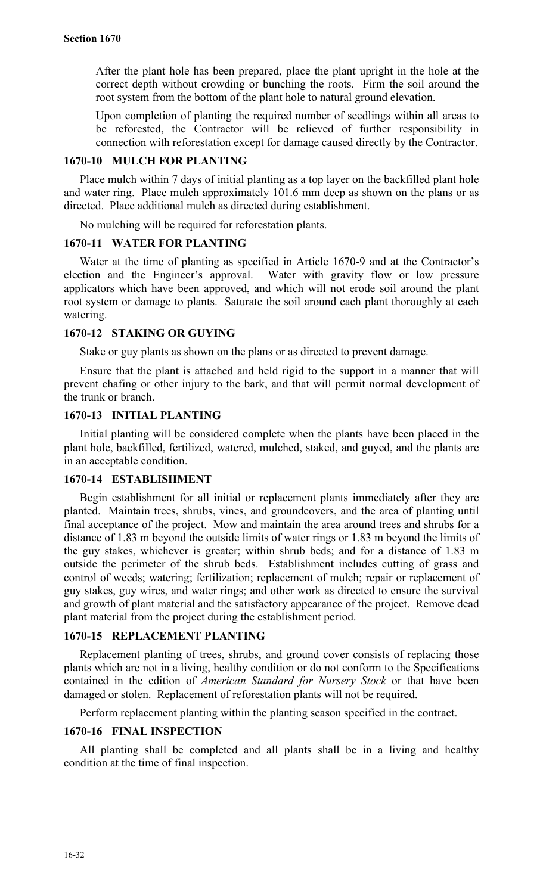After the plant hole has been prepared, place the plant upright in the hole at the correct depth without crowding or bunching the roots. Firm the soil around the root system from the bottom of the plant hole to natural ground elevation.

Upon completion of planting the required number of seedlings within all areas to be reforested, the Contractor will be relieved of further responsibility in connection with reforestation except for damage caused directly by the Contractor.

## **1670-10 MULCH FOR PLANTING**

Place mulch within 7 days of initial planting as a top layer on the backfilled plant hole and water ring. Place mulch approximately 101.6 mm deep as shown on the plans or as directed. Place additional mulch as directed during establishment.

No mulching will be required for reforestation plants.

## **1670-11 WATER FOR PLANTING**

Water at the time of planting as specified in Article 1670-9 and at the Contractor's election and the Engineer's approval. Water with gravity flow or low pressure applicators which have been approved, and which will not erode soil around the plant root system or damage to plants. Saturate the soil around each plant thoroughly at each watering.

## **1670-12 STAKING OR GUYING**

Stake or guy plants as shown on the plans or as directed to prevent damage.

Ensure that the plant is attached and held rigid to the support in a manner that will prevent chafing or other injury to the bark, and that will permit normal development of the trunk or branch.

## **1670-13 INITIAL PLANTING**

Initial planting will be considered complete when the plants have been placed in the plant hole, backfilled, fertilized, watered, mulched, staked, and guyed, and the plants are in an acceptable condition.

#### **1670-14 ESTABLISHMENT**

Begin establishment for all initial or replacement plants immediately after they are planted. Maintain trees, shrubs, vines, and groundcovers, and the area of planting until final acceptance of the project. Mow and maintain the area around trees and shrubs for a distance of 1.83 m beyond the outside limits of water rings or 1.83 m beyond the limits of the guy stakes, whichever is greater; within shrub beds; and for a distance of 1.83 m outside the perimeter of the shrub beds. Establishment includes cutting of grass and control of weeds; watering; fertilization; replacement of mulch; repair or replacement of guy stakes, guy wires, and water rings; and other work as directed to ensure the survival and growth of plant material and the satisfactory appearance of the project. Remove dead plant material from the project during the establishment period.

## **1670-15 REPLACEMENT PLANTING**

Replacement planting of trees, shrubs, and ground cover consists of replacing those plants which are not in a living, healthy condition or do not conform to the Specifications contained in the edition of *American Standard for Nursery Stock* or that have been damaged or stolen. Replacement of reforestation plants will not be required.

Perform replacement planting within the planting season specified in the contract.

#### **1670-16 FINAL INSPECTION**

All planting shall be completed and all plants shall be in a living and healthy condition at the time of final inspection.